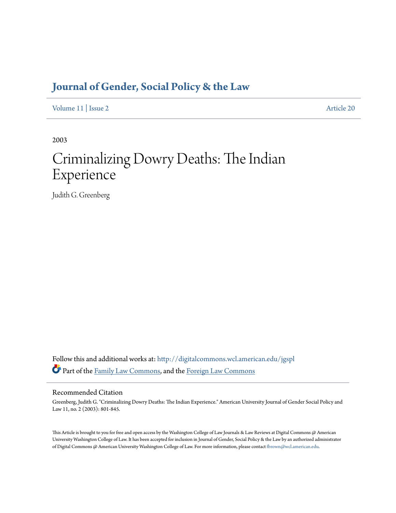# **[Journal of Gender, Social Policy & the Law](http://digitalcommons.wcl.american.edu/jgspl?utm_source=digitalcommons.wcl.american.edu%2Fjgspl%2Fvol11%2Fiss2%2F20&utm_medium=PDF&utm_campaign=PDFCoverPages)**

[Volume 11](http://digitalcommons.wcl.american.edu/jgspl/vol11?utm_source=digitalcommons.wcl.american.edu%2Fjgspl%2Fvol11%2Fiss2%2F20&utm_medium=PDF&utm_campaign=PDFCoverPages) | [Issue 2](http://digitalcommons.wcl.american.edu/jgspl/vol11/iss2?utm_source=digitalcommons.wcl.american.edu%2Fjgspl%2Fvol11%2Fiss2%2F20&utm_medium=PDF&utm_campaign=PDFCoverPages) [Article 20](http://digitalcommons.wcl.american.edu/jgspl/vol11/iss2/20?utm_source=digitalcommons.wcl.american.edu%2Fjgspl%2Fvol11%2Fiss2%2F20&utm_medium=PDF&utm_campaign=PDFCoverPages)

2003

# Criminalizing Dowry Deaths: The Indian Experience

Judith G. Greenberg

Follow this and additional works at: [http://digitalcommons.wcl.american.edu/jgspl](http://digitalcommons.wcl.american.edu/jgspl?utm_source=digitalcommons.wcl.american.edu%2Fjgspl%2Fvol11%2Fiss2%2F20&utm_medium=PDF&utm_campaign=PDFCoverPages) Part of the [Family Law Commons,](http://network.bepress.com/hgg/discipline/602?utm_source=digitalcommons.wcl.american.edu%2Fjgspl%2Fvol11%2Fiss2%2F20&utm_medium=PDF&utm_campaign=PDFCoverPages) and the [Foreign Law Commons](http://network.bepress.com/hgg/discipline/1058?utm_source=digitalcommons.wcl.american.edu%2Fjgspl%2Fvol11%2Fiss2%2F20&utm_medium=PDF&utm_campaign=PDFCoverPages)

### Recommended Citation

Greenberg, Judith G. "Criminalizing Dowry Deaths: The Indian Experience." American University Journal of Gender Social Policy and Law 11, no. 2 (2003): 801-845.

This Article is brought to you for free and open access by the Washington College of Law Journals & Law Reviews at Digital Commons @ American University Washington College of Law. It has been accepted for inclusion in Journal of Gender, Social Policy & the Law by an authorized administrator of Digital Commons @ American University Washington College of Law. For more information, please contact [fbrown@wcl.american.edu.](mailto:fbrown@wcl.american.edu)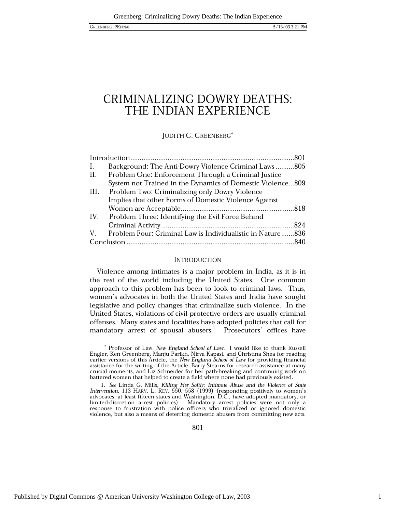## CRIMINALIZING DOWRY DEATHS: THE INDIAN EXPERIENCE

JUDITH G. GREENBERG\*

| Ι.   | Background: The Anti-Dowry Violence Criminal Laws805       |  |
|------|------------------------------------------------------------|--|
| II.  | Problem One: Enforcement Through a Criminal Justice        |  |
|      | System not Trained in the Dynamics of Domestic Violence809 |  |
| III. | Problem Two: Criminalizing only Dowry Violence             |  |
|      | Implies that other Forms of Domestic Violence Against      |  |
|      |                                                            |  |
|      | IV. Problem Three: Identifying the Evil Force Behind       |  |
|      |                                                            |  |
| V —  | Problem Four: Criminal Law is Individualistic in Nature836 |  |
|      |                                                            |  |

### **INTRODUCTION**

Violence among intimates is a major problem in India, as it is in the rest of the world including the United States. One common approach to this problem has been to look to criminal laws. Thus, women's advocates in both the United States and India have sought legislative and policy changes that criminalize such violence. In the United States, violations of civil protective orders are usually criminal offenses. Many states and localities have adopted policies that call for mandatory arrest of spousal abusers.<sup>1</sup> Prosecutors' offices have

801

<sup>\*</sup> Professor of Law, New England School of Law. I would like to thank Russell Engler, Ken Greenberg, Manju Parikh, Nirva Kapasi, and Christina Shea for reading earlier versions of this Article, the New England School of Law for providing financial assistance for the writing of the Article, Barry Stearns for research assistance at many crucial moments, and Liz Schneider for her path-breaking and continuing work on battered women that helped to create a field where none had previously existed.

<sup>1.</sup> See Linda G. Mills, Killing Her Softly: Intimate Abuse and the Violence of State Intervention, 113 HARV. L. REV. 550, 558 (1999) (responding positively to women's advocates, at least fifteen states and Washington, D.C., have adopted mandatory, or limited-discretion arrest policies). Mandatory arrest policies were not only a response to frustration with police officers who trivialized or ignored domestic violence, but also a means of deterring domestic abusers from committing new acts.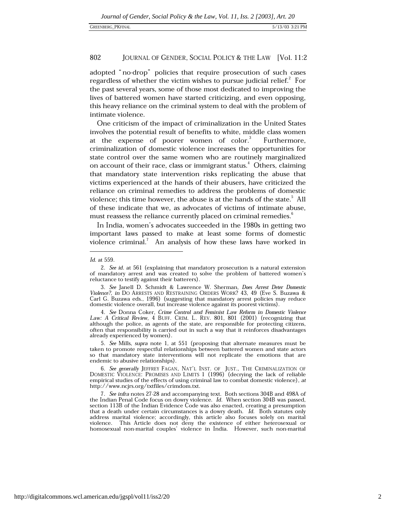adopted "no-drop" policies that require prosecution of such cases regardless of whether the victim wishes to pursue judicial relief.<sup>2</sup> For the past several years, some of those most dedicated to improving the lives of battered women have started criticizing, and even opposing, this heavy reliance on the criminal system to deal with the problem of intimate violence.

One criticism of the impact of criminalization in the United States involves the potential result of benefits to white, middle class women at the expense of poorer women of color.<sup>3</sup> Furthermore. criminalization of domestic violence increases the opportunities for state control over the same women who are routinely marginalized on account of their race, class or immigrant status.<sup>4</sup> Others, claiming that mandatory state intervention risks replicating the abuse that victims experienced at the hands of their abusers, have criticized the reliance on criminal remedies to address the problems of domestic violence; this time however, the abuse is at the hands of the state.<sup>5</sup> All of these indicate that we, as advocates of victims of intimate abuse, must reassess the reliance currently placed on criminal remedies.

In India, women's advocates succeeded in the 1980s in getting two important laws passed to make at least some forms of domestic violence criminal.<sup>7</sup> An analysis of how these laws have worked in

Id. at 559.

<sup>2.</sup> See id. at 561 (explaining that mandatory prosecution is a natural extension of mandatory arrest and was created to solve the problem of battered women's reluctance to testify against their batterers).

<sup>3.</sup> See Janell D. Schmidt & Lawrence W. Sherman, *Does Arrest Deter Domestic Violence*?, *in* DO ARRESTS AND RESTRAINING ORDERS WORK? 43, 49 (Eve S. Buzawa & Carl G. Buzawa eds., 1996) (suggesting that mandatory arrest policies may reduce domestic violence overall, but increase violence against its poorest victims).

<sup>4.</sup> See Donna Coker, Crime Control and Feminist Law Reform in Domestic Violence Law: A Critical Review, 4 BUFF. CRIM. L. REV. 801, 801 (2001) (recognizing that although the police, as agents of the state, are responsible for protecting citizens, often that responsibility is carried out in such a way that it reinforces disadvantages already experienced by women).

<sup>5.</sup> See Mills, supra note 1, at 551 (proposing that alternate measures must be taken to promote respectful relationships between battered women and state actors so that mandatory state interventions will not replicate the emotions that are endemic to abusive relationships).

<sup>6.</sup> See generally JEFFREY FAGAN, NAT'L INST. OF JUST., THE CRIMINALIZATION OF DOMESTIC VIOLENCE: PROMISES AND LIMITS 1 (1996) (decrying the lack of reliable empirical studies of the effects of using criminal law to combat domestic violence), at http://www.ncjrs.org/txtfiles/crimdom.txt.

<sup>7.</sup> See infra notes 27-28 and accompanying text. Both sections 304B and 498A of the Indian Penal Code focus on dowry violence. Id. When section 304B was passed, section 113B of the Indian Evidence Code was also enacted, creating a presumption that a death under certain circumstances is a dowry death. Id. Both statutes only address marital violence; accordingly, this article also focuses solely on marital violence. This Article does not deny the existence of either heterosexual or homosexual non-marital couples' violence in India. However, such non-marital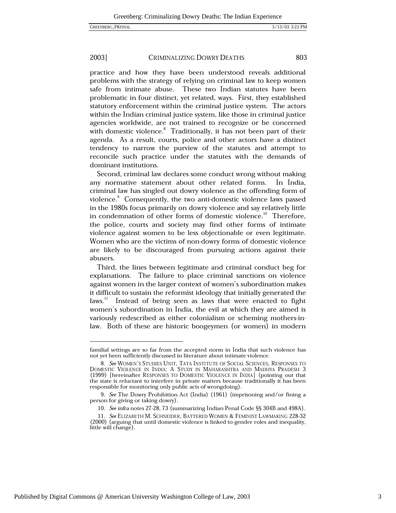#### 2003] CRIMINALIZING DOWRY DEATHS

practice and how they have been understood reveals additional problems with the strategy of relying on criminal law to keep women safe from intimate abuse. These two Indian statutes have been problematic in four distinct, yet related, ways. First, they established statutory enforcement within the criminal justice system. The actors within the Indian criminal justice system, like those in criminal justice agencies worldwide, are not trained to recognize or be concerned with domestic violence.<sup>8</sup> Traditionally, it has not been part of their agenda. As a result, courts, police and other actors have a distinct tendency to narrow the purview of the statutes and attempt to reconcile such practice under the statutes with the demands of dominant institutions.

Second, criminal law declares some conduct wrong without making any normative statement about other related forms. In India, criminal law has singled out dowry violence as the offending form of violence.<sup>9</sup> Consequently, the two anti-domestic violence laws passed in the 1980s focus primarily on dowry violence and say relatively little in condemnation of other forms of domestic violence.<sup>10</sup> Therefore, the police, courts and society may find other forms of intimate violence against women to be less objectionable or even legitimate. Women who are the victims of non-dowry forms of domestic violence are likely to be discouraged from pursuing actions against their abusers.

Third, the lines between legitimate and criminal conduct beg for explanations. The failure to place criminal sanctions on violence against women in the larger context of women's subordination makes it difficult to sustain the reformist ideology that initially generated the laws.<sup>11</sup> Instead of being seen as laws that were enacted to fight women's subordination in India, the evil at which they are aimed is variously redescribed as either colonialism or scheming mothers-inlaw. Both of these are historic boogeymen (or women) in modern

familial settings are so far from the accepted norm in India that such violence has not yet been sufficiently discussed in literature about intimate violence.

<sup>8.</sup> See WOMEN'S STUDIES UNIT, TATA INSTITUTE OF SOCIAL SCIENCES, RESPONSES TO DOMESTIC VIOLENCE IN INDIA: A STUDY IN MAHARASHTRA AND MADHYA PRADESH 3 (1999) [hereinafter RESPONSES TO DOMESTIC VIOLENCE IN INDIA] (pointing out that the state is reluctant to interfere in private matters because traditionally it has been responsible for monitoring only public acts of wrongdoing).

<sup>9.</sup> See The Dowry Prohibition Act (India) (1961) (imprisoning and/or fining a person for giving or taking dowry).

<sup>10.</sup> See infra notes 27-28, 73 (summarizing Indian Penal Code §§ 304B and 498A).

<sup>11.</sup> See ELIZABETH M. SCHNEIDER, BATTERED WOMEN & FEMINIST LAWMAKING 228-32 (2000) (arguing that until domestic violence is linked to gender roles and inequality, little will change).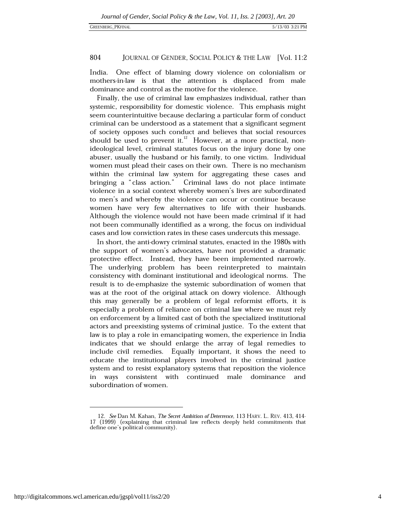India. One effect of blaming dowry violence on colonialism or mothers-in-law is that the attention is displaced from male dominance and control as the motive for the violence.

Finally, the use of criminal law emphasizes individual, rather than systemic, responsibility for domestic violence. This emphasis might seem counterintuitive because declaring a particular form of conduct criminal can be understood as a statement that a significant segment of society opposes such conduct and believes that social resources should be used to prevent it.<sup>12</sup> However, at a more practical, nonideological level, criminal statutes focus on the injury done by one abuser, usually the husband or his family, to one victim. Individual women must plead their cases on their own. There is no mechanism within the criminal law system for aggregating these cases and bringing a "class action." Criminal laws do not place intimate violence in a social context whereby women's lives are subordinated to men's and whereby the violence can occur or continue because women have very few alternatives to life with their husbands. Although the violence would not have been made criminal if it had not been communally identified as a wrong, the focus on individual cases and low conviction rates in these cases undercuts this message.

In short, the anti-dowry criminal statutes, enacted in the 1980s with the support of women's advocates, have not provided a dramatic protective effect. Instead, they have been implemented narrowly. The underlying problem has been reinterpreted to maintain consistency with dominant institutional and ideological norms. The result is to de-emphasize the systemic subordination of women that was at the root of the original attack on dowry violence. Although this may generally be a problem of legal reformist efforts, it is especially a problem of reliance on criminal law where we must rely on enforcement by a limited cast of both the specialized institutional actors and preexisting systems of criminal justice. To the extent that law is to play a role in emancipating women, the experience in India indicates that we should enlarge the array of legal remedies to include civil remedies. Equally important, it shows the need to educate the institutional players involved in the criminal justice system and to resist explanatory systems that reposition the violence in ways consistent with continued male dominance and subordination of women.

<sup>12.</sup> See Dan M. Kahan, The Secret Ambition of Deterrence, 113 HARV. L. REV. 413, 414-17 (1999) (explaining that criminal law reflects deeply held commitments that define one's political community).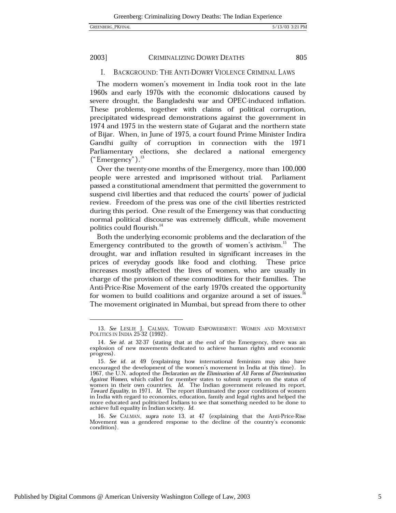### 2003]

### CRIMINALIZING DOWRY DEATHS

805

#### Ι. **BACKGROUND: THE ANTI-DOWRY VIOLENCE CRIMINAL LAWS**

The modern women's movement in India took root in the late 1960s and early 1970s with the economic dislocations caused by severe drought, the Bangladeshi war and OPEC-induced inflation. These problems, together with claims of political corruption, precipitated widespread demonstrations against the government in 1974 and 1975 in the western state of Gujarat and the northern state of Bijar. When, in June of 1975, a court found Prime Minister Indira Gandhi guilty of corruption in connection with the 1971 Parliamentary elections, she declared a national emergency  $("Energy")$ .<sup>13</sup>

Over the twenty-one months of the Emergency, more than 100,000 people were arrested and imprisoned without trial. Parliament passed a constitutional amendment that permitted the government to suspend civil liberties and that reduced the courts' power of judicial review. Freedom of the press was one of the civil liberties restricted during this period. One result of the Emergency was that conducting normal political discourse was extremely difficult, while movement politics could flourish.<sup>14</sup>

Both the underlying economic problems and the declaration of the Emergency contributed to the growth of women's activism.<sup>15</sup> The drought, war and inflation resulted in significant increases in the prices of everyday goods like food and clothing. These price increases mostly affected the lives of women, who are usually in charge of the provision of these commodities for their families. The Anti-Price-Rise Movement of the early 1970s created the opportunity for women to build coalitions and organize around a set of issues.<sup>16</sup> The movement originated in Mumbai, but spread from there to other

16. See CALMAN, supra note 13, at 47 (explaining that the Anti-Price-Rise Movement was a gendered response to the decline of the country's economic condition).

<sup>13.</sup> See LESLIE J. CALMAN, TOWARD EMPOWERMENT: WOMEN AND MOVEMENT POLITICS IN INDIA 25-32 (1992).

<sup>14.</sup> See id. at 32-37 (stating that at the end of the Emergency, there was an explosion of new movements dedicated to achieve human rights and economic progress).

<sup>15.</sup> See id. at 49 (explaining how international feminism may also have encouraged the development of the women's movement in India at this time). In 1967, the U.N. adopted the Declaration on the Elimination of All Forms of Discrimination Against Women, which called for member states to submit reports on the status of women in their own countries. Id. The Indian government released its report, Toward Equality, in 1971. Id. The report illuminated the poor conditions of women in India with regard to economics, education, family and legal rights and helped the more educated and politicized Indians to see that something needed to be done to achieve full equality in Indian society. Id.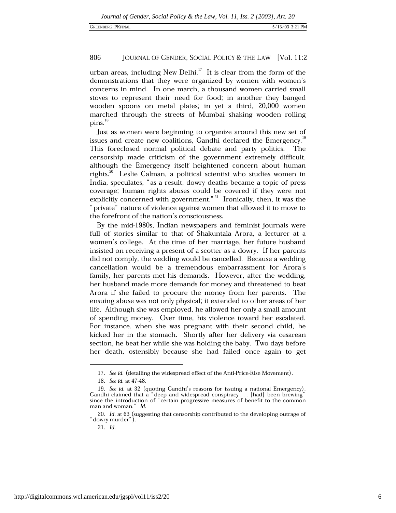urban areas, including New Delhi.<sup>17</sup> It is clear from the form of the demonstrations that they were organized by women with women's concerns in mind. In one march, a thousand women carried small stoves to represent their need for food; in another they banged wooden spoons on metal plates; in yet a third, 20,000 women marched through the streets of Mumbai shaking wooden rolling  $\rm{pins.}^{18}$ 

Just as women were beginning to organize around this new set of issues and create new coalitions, Gandhi declared the Emergency.<sup>19</sup> This foreclosed normal political debate and party politics. The censorship made criticism of the government extremely difficult, although the Emergency itself heightened concern about human rights.<sup>20</sup> Leslie Calman, a political scientist who studies women in India, speculates, "as a result, dowry deaths became a topic of press coverage; human rights abuses could be covered if they were not explicitly concerned with government."<sup>21</sup> Ironically, then, it was the "private" nature of violence against women that allowed it to move to the forefront of the nation's consciousness.

By the mid-1980s, Indian newspapers and feminist journals were full of stories similar to that of Shakuntala Arora, a lecturer at a women's college. At the time of her marriage, her future husband insisted on receiving a present of a scotter as a dowry. If her parents did not comply, the wedding would be cancelled. Because a wedding cancellation would be a tremendous embarrassment for Arora's family, her parents met his demands. However, after the wedding, her husband made more demands for money and threatened to beat Arora if she failed to procure the money from her parents. The ensuing abuse was not only physical; it extended to other areas of her life. Although she was employed, he allowed her only a small amount of spending money. Over time, his violence toward her escalated. For instance, when she was pregnant with their second child, he kicked her in the stomach. Shortly after her delivery via cesarean section, he beat her while she was holding the baby. Two days before her death, ostensibly because she had failed once again to get

<sup>17.</sup> See id. (detailing the widespread effect of the Anti-Price-Rise Movement).

<sup>18.</sup> See id. at 47-48.

<sup>19.</sup> See id. at 32 (quoting Gandhi's reasons for issuing a national Emergency). Gandhi claimed that a "deep and widespread conspiracy... [had] been brewing" since the introduction of "certain progressive measures of benefit to the common man and woman." Id.

<sup>20.</sup> Id. at 63 (suggesting that censorship contributed to the developing outrage of "dowry murder").

<sup>21.</sup> Id.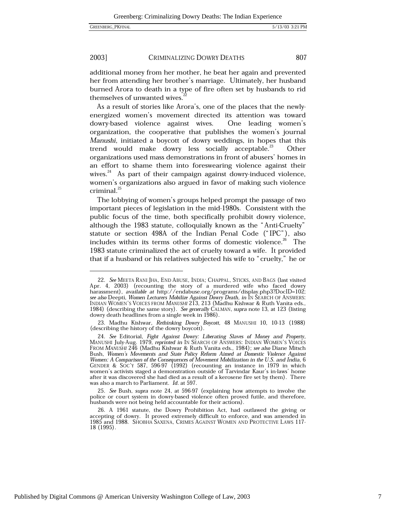#### 2003] CRIMINALIZING DOWRY DEATHS

additional money from her mother, he beat her again and prevented her from attending her brother's marriage. Ultimately, her husband burned Arora to death in a type of fire often set by husbands to rid themselves of unwanted wives.

As a result of stories like Arora's, one of the places that the newlyenergized women's movement directed its attention was toward dowry-based violence against wives. One leading women's organization, the cooperative that publishes the women's journal Manushi, initiated a boycott of dowry weddings, in hopes that this trend would make dowry less socially acceptable.<sup>23</sup> Other organizations used mass demonstrations in front of abusers' homes in an effort to shame them into foreswearing violence against their wives.<sup>24</sup> As part of their campaign against dowry-induced violence, women's organizations also argued in favor of making such violence criminal.<sup>25</sup>

The lobbying of women's groups helped prompt the passage of two important pieces of legislation in the mid-1980s. Consistent with the public focus of the time, both specifically prohibit dowry violence, although the 1983 statute, colloquially known as the "Anti-Cruelty" statute or section 498A of the Indian Penal Code ("IPC"), also includes within its terms other forms of domestic violence.<sup>26</sup> The 1983 statute criminalized the act of cruelty toward a wife. It provided that if a husband or his relatives subjected his wife to "cruelty," he or

807

<sup>22.</sup> See MEETA RANI JHA, END ABUSE, INDIA; CHAPPAL, STICKS, AND BAGS (last visited Apr. 4, 2003) (recounting the story of a murdered wife who faced dowry<br>harassment), available at http://endabuse.org/programs/display.php3?DocID=102; see also Deepti, Women Lecturers Mobilize Against Dowry Death, in IN SEARCH OF ANSWERS: INDIAN WOMEN'S VOICES FROM MANUSHI 213, 213 (Madhu Kishwar & Ruth Vanita eds., 1984) (describing the same story). See generally CALMAN, supra note 13, at 123 (listing dowry death headlines from a single week in 1986).

<sup>23.</sup> Madhu Kishwar, Rethinking Dowry Boycott, 48 MANUSHI 10, 10-13 (1988) (describing the history of the dowry boycott).

<sup>24.</sup> See Editorial, Fight Against Dowry: Liberating Slaves of Money and Property, MANUSHI July-Aug. 1979, reprinted in IN SEARCH OF ANSWERS: INDIAN WOMEN'S VOICES<br>FROM MANUSHI 246 (Madhu Kishwar & Ruth Vanita eds., 1984); see also Diane Mitsch Bush, Women's Movements and State Policy Reform Aimed at Domestic Violence Against Women: A Comparison of the Consequences of Movement Mobilization in the U.S. and India, 6<br>GENDER & SOC'Y 587, 596-97 (1992) (recounting an instance in 1979 in which women's activists staged a demonstration outside of Tarvindar Kaur's in-laws' home after it was discovered she had died as a result of a kerosene fire set by them). There was also a march to Parliament. Id. at 597.

<sup>25.</sup> See Bush, supra note 24, at 596-97 (explaining how attempts to involve the police or court system in dowry-based violence often proved futile, and therefore, husbands were not being held accountable for their actions).

<sup>26.</sup> A 1961 statute, the Dowry Prohibition Act, had outlawed the giving or accepting of dowry. It proved extremely difficult to enforce, and was amended in 1985 and 1988. SHOBHA SAXENA, CRIMES AGAINST WOMEN AND PROTECTIVE LAWS 117-18 (1995).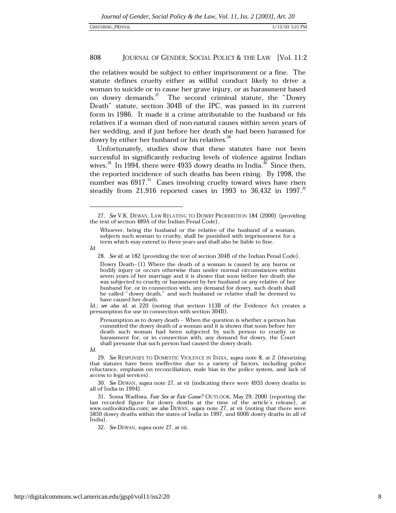the relatives would be subject to either imprisonment or a fine. The statute defines cruelty either as willful conduct likely to drive a woman to suicide or to cause her grave injury, or as harassment based on dowry demands.<sup>27</sup> The second criminal statute, the "Dowry Death" statute, section 304B of the IPC, was passed in its current form in 1986. It made it a crime attributable to the husband or his relatives if a woman died of non-natural causes within seven years of her wedding, and if just before her death she had been harassed for dowry by either her husband or his relatives.<sup>28</sup>

Unfortunately, studies show that these statutes have not been successful in significantly reducing levels of violence against Indian wives.<sup>29</sup> In 1994, there were 4935 dowry deaths in India.<sup>30</sup> Since then, the reported incidence of such deaths has been rising. By 1998, the number was 6917.<sup>31</sup> Cases involving cruelty toward wives have risen steadily from 21,916 reported cases in 1993 to 36,432 in 1997.<sup>32</sup>

Id.

28. See id. at 182 (providing the text of section 304B of the Indian Penal Code).

Id.; see also id. at 220 (noting that section 113B of the Evidence Act creates a presumption for use in connection with section 304B).

Presumption as to dowry death - When the question is whether a person has committed the dowry death of a woman and it is shown that soon before her death such woman had been subjected by such person to cruelty or harassment for, or in connection with, any demand for dowry, the Court shall presume that such person had caused the dowry death.

29. See RESPONSES TO DOMESTIC VIOLENCE IN INDIA, supra note 8, at 2 (theorizing that statutes have been ineffective due to a variety of factors, including police reluctance, emphasis on reconciliation, male bias in the police system, and lack of access to legal services).

30. See DEWAN, supra note 27, at vii (indicating there were 4935 dowry deaths in all of India in 1994).

31. Soma Wadhwa, Fair Sex or Fair Game? OUTLOOK, May 29, 2000 (reporting the last recorded figure for dowry deaths at the time of the article's release), at www.outlookindia.com; see also DEWAN, supra note 27, at vii (noting that there were 5850 dowry deaths within the states of India in 1997, and 6006 dowry deaths in all of India)

32. See DEWAN, supra note 27, at vii.

<sup>27.</sup> See V.K. DEWAN, LAW RELATING TO DOWRY PROHIBITION 184 (2000) (providing the text of section 489A of the Indian Penal Code).

Whoever, being the husband or the relative of the husband of a woman, subjects such woman to cruelty, shall be punished with imprisonment for a term which may extend to three years and shall also be liable to fine.

Dowry Death-(1) Where the death of a woman is caused by any burns or bodily injury or occurs otherwise than under normal circumstances within seven years of her marriage and it is shown that soon before her death she was subjected to cruelty or harassment by her husband or any relative of her husband for, or in connection with, any demand for dowry, such death shall be called "dowry death," and such husband or relative shall be deemed to have caused her death.

 $Id$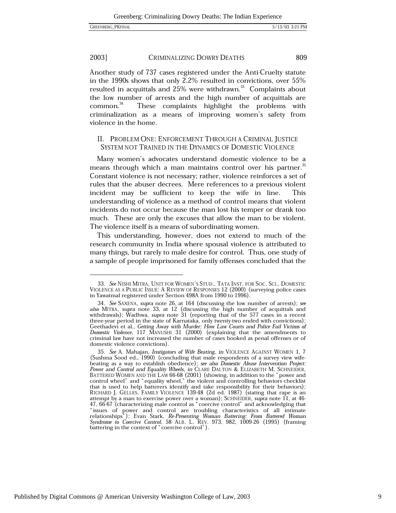#### 2003] CRIMINALIZING DOWRY DEATHS

Another study of 737 cases registered under the Anti-Cruelty statute in the 1990s shows that only 2.2% resulted in convictions, over  $55\%$ resulted in acquittals and 25% were withdrawn.<sup>33</sup> Complaints about the low number of arrests and the high number of acquittals are  $common.<sup>34</sup>$ These complaints highlight the problems with criminalization as a means of improving women's safety from violence in the home.

### II. PROBLEM ONE: ENFORCEMENT THROUGH A CRIMINAL JUSTICE SYSTEM NOT TRAINED IN THE DYNAMICS OF DOMESTIC VIOLENCE

Many women's advocates understand domestic violence to be a means through which a man maintains control over his partner.<sup>35</sup> Constant violence is not necessary; rather, violence reinforces a set of rules that the abuser decrees. Mere references to a previous violent incident may be sufficient to keep the wife in line. This understanding of violence as a method of control means that violent incidents do not occur because the man lost his temper or drank too much. These are only the excuses that allow the man to be violent. The violence itself is a means of subordinating women.

This understanding, however, does not extend to much of the research community in India where spousal violence is attributed to many things, but rarely to male desire for control. Thus, one study of a sample of people imprisoned for family offenses concluded that the

<sup>33.</sup> See NISHI MITRA, UNIT FOR WOMEN'S STUD., TATA INST. FOR SOC. SCI., DOMESTIC VIOLENCE AS A PUBLIC ISSUE: A REVIEW OF RESPONSES 12 (2000) (surveying police cases in Yawatmal registered under Section 498A from 1990 to 1996).

<sup>34.</sup> See SAXENA, supra note 26, at 164 (discussing the low number of arrests); see also MITRA, supra note 33, at 12 (discussing the high number of acquittals and withdrawals); Wadhwa, supra note 31 (reporting that of the 577 cases in a recent three-year period in the state of Karnataka, only twenty-two ended with convictions); Geethadevi et al., Getting Away with Murder: How Law Courts and Police Fail Victims of Domestic Violence, 117 MANUSHI 31 (2000) (explaining that the amendments to criminal law have not increased the number of cases booked as penal offenses or of domestic violence convictions).

<sup>35.</sup> See A. Mahajan, Instigators of Wife Beating, in VIOLENCE AGAINST WOMEN 1, 7 (Sushma Sood ed., 1990) (concluding that male respondents of a survey view wifebeating as a way to establish obedience); see also Domestic Abuse Intervention Project: Power and Control and Equality Wheels, in CLARE DALTON & ELIZABETH M. SCHNEIDER, BATTERED WOMEN AND THE LAW 66-68 (2001) (showing, in addition to the "power and control wheel" and "equality wheel," the violent and controlling behaviors checklist that is used to help batterers identify and take responsibility for their behaviors);<br>RICHARD J. GELLES, FAMILY VIOLENCE 139-48 (2d ed. 1987) (stating that rape is an attempt by a man to exercise power over a woman); SCHNEIDER, supra note 11, at 46attempt by a name of characterizing male control as "coercive control" and acknowledging that<br>
"I, 66-67 (characterizing male control as "coercive control" and acknowledging that<br>
"issues of power and control are troubling battering in the context of "coercive control").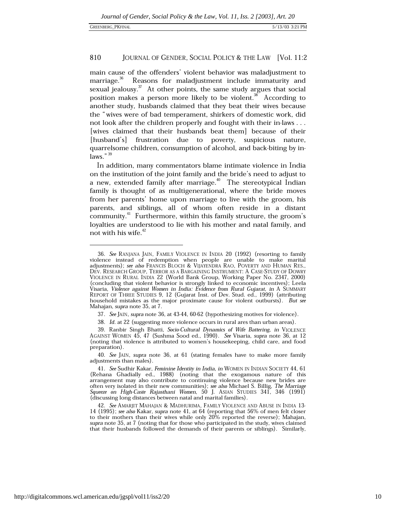### **GREENBERG PKFINAL**

#### 810 JOURNAL OF GENDER, SOCIAL POLICY & THE LAW [Vol. 11:2

main cause of the offenders' violent behavior was maladjustment to marriage.<sup>36</sup> Reasons for maladjustment include immaturity and sexual jealousy.<sup>37</sup> At other points, the same study argues that social position makes a person more likely to be violent.<sup>38</sup> According to another study, husbands claimed that they beat their wives because the "wives were of bad temperament, shirkers of domestic work, did not look after the children properly and fought with their in-laws . . . [wives claimed that their husbands beat them] because of their [husband's] frustration due to poverty, suspicious nature, quarrelsome children, consumption of alcohol, and back-biting by in $laws."$ <sup>39</sup>

In addition, many commentators blame intimate violence in India on the institution of the joint family and the bride's need to adjust to a new, extended family after marriage.<sup>40</sup> The stereotypical Indian family is thought of as multigenerational, where the bride moves from her parents' home upon marriage to live with the groom, his parents, and siblings, all of whom often reside in a distant community.<sup>41</sup> Furthermore, within this family structure, the groom's loyalties are understood to lie with his mother and natal family, and not with his wife.<sup>42</sup>

<sup>36.</sup> See RANJANA JAIN, FAMILY VIOLENCE IN INDIA 20 (1992) (resorting to family violence instead of redemption when people are unable to make marital adjustments); see also FRANCIS BLOCH & VIJAYENDRA RAO, POVERTY AND HUMAN RES., DEV. RESEARCH GROUP, TERROR AS A BARGAINING INSTRUMENT: A CASE-STUDY OF DOWRY VIOLENCE IN RURAL INDIA 22 (World Bank Group, Working Paper No. 2347, 2000) (concluding that violent behavior is strongly linked to economic incentives); Leela Visaria, Violence against Women in India: Evidence from Rural Gujarat, in A SUMMARY REPORT OF THREE STUDIES 9, 12 (Gujarat Inst. of Dev. Stud. ed., 1999) (attributing household mistakes as the major proximate cause for violent outbursts). But see Mahajan, supra note 35, at 7.

<sup>37.</sup> See JAIN, supra note 36, at 43-44, 60-62 (hypothesizing motives for violence).

<sup>38.</sup> Id. at 22 (suggesting more violence occurs in rural ares than urban areas).

<sup>39.</sup> Ranbir Singh Bhatti, Socio-Cultural Dynamics of Wife Battering, in VIOLENCE AGAINST WOMEN 45, 47 (Sushma Sood ed., 1990). See Visaria, supra note 36, at 12 (noting that violence is attributed to women's housekeeping, child care, and food preparation).

<sup>40.</sup> See JAIN, supra note 36, at 61 (stating females have to make more family adjustments than males).

<sup>41.</sup> See Sudhir Kakar, Feminine Identity in India, in WOMEN IN INDIAN SOCIETY 44, 61 (Rehana Ghadially ed., 1988) (noting that the exogamous nature of this arrangement may also contribute to continuing violence because new brides are often very isolated in their new communities); see also Michael S. Billig, The Marriage Squeeze on High-Caste Rajasthani Women, 50 J. ASIAN STUDIES 341, 346 (1991) (discussing long distances between natal and marital families).

<sup>42.</sup> See AMARJIT MAHAJAN & MADHURIMA, FAMILY VIOLENCE AND ABUSE IN INDIA 13-14 (1995); see also Kakar, supra note 41, at 64 (reporting that 56% of men felt closer to their mothers than their wives while only 20% reported the reverse); Mahajan, supra note 35, at 7 (noting that for those who participated in the study, wives claimed that their husbands followed the demands of their parents or siblings). Similarly,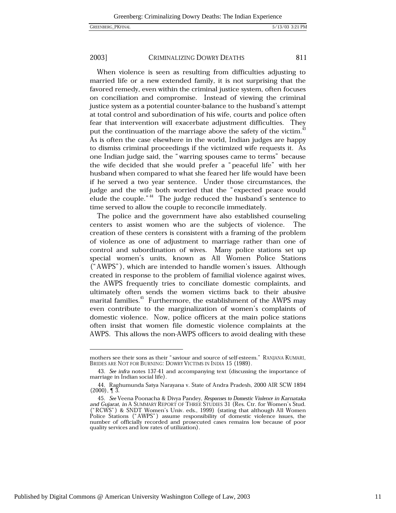#### 2003] CRIMINALIZING DOWRY DEATHS

When violence is seen as resulting from difficulties adjusting to married life or a new extended family, it is not surprising that the favored remedy, even within the criminal justice system, often focuses on conciliation and compromise. Instead of viewing the criminal justice system as a potential counter-balance to the husband's attempt at total control and subordination of his wife, courts and police often fear that intervention will exacerbate adjustment difficulties. They put the continuation of the marriage above the safety of the victim.<sup>43</sup> As is often the case elsewhere in the world, Indian judges are happy to dismiss criminal proceedings if the victimized wife requests it. As one Indian judge said, the "warring spouses came to terms" because the wife decided that she would prefer a "peaceful life" with her husband when compared to what she feared her life would have been if he served a two year sentence. Under those circumstances, the judge and the wife both worried that the "expected peace would elude the couple."<sup>44</sup> The judge reduced the husband's sentence to time served to allow the couple to reconcile immediately.

The police and the government have also established counseling centers to assist women who are the subjects of violence. The creation of these centers is consistent with a framing of the problem of violence as one of adjustment to marriage rather than one of control and subordination of wives. Many police stations set up special women's units, known as All Women Police Stations ("AWPS"), which are intended to handle women's issues. Although created in response to the problem of familial violence against wives, the AWPS frequently tries to conciliate domestic complaints, and ultimately often sends the women victims back to their abusive marital families.<sup>45</sup> Furthermore, the establishment of the AWPS may even contribute to the marginalization of women's complaints of domestic violence. Now, police officers at the main police stations often insist that women file domestic violence complaints at the AWPS. This allows the non-AWPS officers to avoid dealing with these

mothers see their sons as their "saviour and source of self-esteem." RANJANA KUMARL BRIDES ARE NOT FOR BURNING: DOWRY VICTIMS IN INDIA 15 (1989).

<sup>43.</sup> See infra notes 137-41 and accompanying text (discussing the importance of marriage in Indian social life).

<sup>44.</sup> Raghumunda Satya Narayana v. State of Andra Pradesh, 2000 AIR SCW 1894  $(2000)$ ,  $\P$  3.

<sup>45.</sup> See Veena Poonacha & Divya Pandey, Responses to Domestic Violence in Karnataka and Gujarat, in A SUMMARY REPORT OF THREE STUDIES 31 (Res. Ctr. for Women's Stud. ("RCWS") & SNDT Women's Univ. eds., 1999) (stating that although All Women<br>Police Stations ("AWPS") assume responsibility of domestic violence issues, the number of officially recorded and prosecuted cases remains low because of poor quality services and low rates of utilization).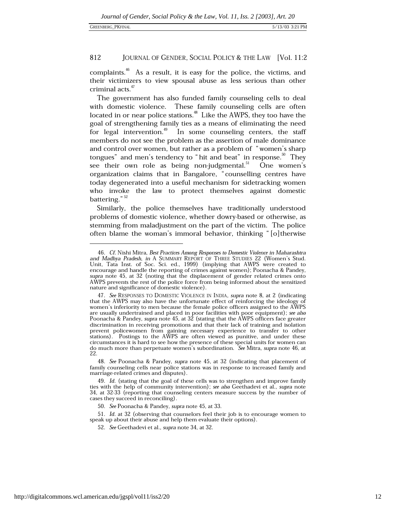complaints.<sup>46</sup> As a result, it is easy for the police, the victims, and their victimizers to view spousal abuse as less serious than other criminal acts.<sup>47</sup>

The government has also funded family counseling cells to deal with domestic violence. These family counseling cells are often located in or near police stations.<sup>48</sup> Like the AWPS, they too have the goal of strengthening family ties as a means of eliminating the need for legal intervention.<sup>49</sup> In some counseling centers, the staff members do not see the problem as the assertion of male dominance and control over women, but rather as a problem of "women's sharp tongues" and men's tendency to "hit and beat" in response.<sup>50</sup> They see their own role as being non-judgmental.<sup>51</sup> One women's organization claims that in Bangalore, "counselling centres have today degenerated into a useful mechanism for sidetracking women who invoke the law to protect themselves against domestic battering." $52$ 

Similarly, the police themselves have traditionally understood problems of domestic violence, whether dowry-based or otherwise, as stemming from maladjustment on the part of the victim. The police often blame the woman's immoral behavior, thinking " $\vert$ o|therwise

<sup>46.</sup> Cf. Nishi Mitra, Best Practices Among Responses to Domestic Violence in Maharashtra and Madhya Pradesh, in A SUMMARY REPORT OF THREE STUDIES 22 (Women's Stud. Unit, Tata Inst. of Soc. Sci. ed., 1999) (implying that AWPS were created to encourage and handle the reporting of crimes against women); Poonacha & Pandey, supra note 45, at 32 (noting that the displacement of gender related crimes onto AWPS prevents the rest of the police force from being informed about the sensitized nature and significance of domestic violence).

<sup>47.</sup> See RESPONSES TO DOMESTIC VIOLENCE IN INDIA, supra note 8, at 2 (indicating that the AWPS may also have the unfortunate effect of reinforcing the ideology of women's inferiority to men because the female police officers assigned to the AWPS are usually undertrained and placed in poor facilities with poor equipment); see also<br>Poonacha & Pandey, supra note 45, at 32 (stating that the AWPS officers face greater discrimination in receiving promotions and that their lack of training and isolation prevent policewomen from gaining necessary experience to transfer to other stations). Postings to the AWPS are often viewed as punitive, and under these circumstances it is hard to see how the presence of these special units for women can do much more than perpetuate women's subordination. See Mitra, supra note 46, at 22.

<sup>48.</sup> See Poonacha & Pandey, supra note 45, at 32 (indicating that placement of family counseling cells near police stations was in response to increased family and marriage-related crimes and disputes).

<sup>49.</sup> Id. (stating that the goal of these cells was to strengthen and improve family ties with the help of community intervention); see also Geethadevi et al., supra note 34, at 32-33 (reporting that counseling centers measure success by the number of cases they succeed in reconciling).

<sup>50.</sup> See Poonacha & Pandey, supra note 45, at 33.

<sup>51.</sup> Id. at 32 (observing that counselors feel their job is to encourage women to speak up about their abuse and help them evaluate their options).

<sup>52.</sup> See Geethadevi et al., supra note 34, at 32.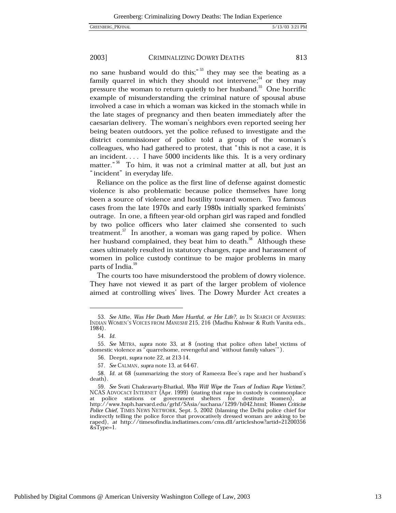#### 2003] CRIMINALIZING DOWRY DEATHS 813

no sane husband would do this;"<sup>53</sup> they may see the beating as a family quarrel in which they should not intervene;<sup>54</sup> or they may pressure the woman to return quietly to her husband.<sup>55</sup> One horrific example of misunderstanding the criminal nature of spousal abuse involved a case in which a woman was kicked in the stomach while in the late stages of pregnancy and then beaten immediately after the caesarian delivery. The woman's neighbors even reported seeing her being beaten outdoors, yet the police refused to investigate and the district commissioner of police told a group of the woman's colleagues, who had gathered to protest, that "this is not a case, it is an incident.... I have  $5000$  incidents like this. It is a very ordinary matter."<sup>56</sup> To him, it was not a criminal matter at all, but just an "incident" in everyday life.

Reliance on the police as the first line of defense against domestic violence is also problematic because police themselves have long been a source of violence and hostility toward women. Two famous cases from the late 1970s and early 1980s initially sparked feminists' outrage. In one, a fifteen year-old orphan girl was raped and fondled by two police officers who later claimed she consented to such treatment.  $57$  In another, a woman was gang raped by police. When her husband complained, they beat him to death.<sup>58</sup> Although these cases ultimately resulted in statutory changes, rape and harassment of women in police custody continue to be major problems in many parts of India.<sup>59</sup>

The courts too have misunderstood the problem of dowry violence. They have not viewed it as part of the larger problem of violence aimed at controlling wives' lives. The Dowry Murder Act creates a

<sup>53.</sup> See Alfie, Was Her Death More Hurtful, or Her Life?, in IN SEARCH OF ANSWERS: INDIAN WOMEN'S VOICES FROM MANUSHI 215, 216 (Madhu Kishwar & Ruth Vanita eds., 1984).

<sup>54.</sup> Id.

<sup>55.</sup> See MITRA, supra note 33, at 8 (noting that police often label victims of domestic violence as "quarrelsome, revengeful and 'without family values'").

<sup>56.</sup> Deepti, *supra* note 22, at 213-14.

<sup>57.</sup> See CALMAN, supra note 13, at 64-67.

<sup>58.</sup> Id. at 68 (summarizing the story of Rameeza Bee's rape and her husband's death).

<sup>59.</sup> See Svati Chakravarty-Bhatkal, Who Will Wipe the Tears of Indian Rape Victims?, NCAS ADVOCACY INTERNET (Apr. 1999) (stating that rape in custody is commonplace at police stations or government shelters for destitute women), at<br>http://www.hsph.harvard.edu/grhf/SAsia/suchana/1299/h042.html; Women Criticise Police Chief, TIMES NEWS NETWORK, Sept. 5, 2002 (blaming the Delhi police chief for indirectly telling the police force that provocatively dressed woman are asking to be raped), at http://timesofindia.indiatimes.com/cms.dll/articleshow?artid=21200356  $&$ sType=1.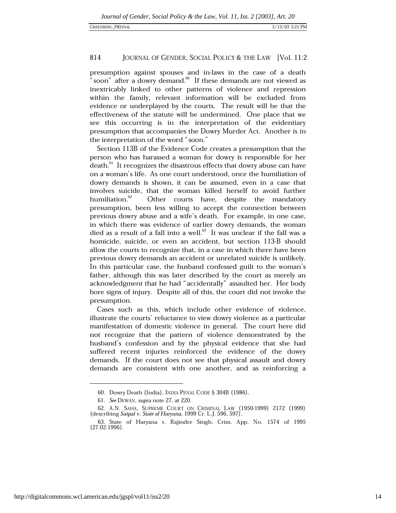presumption against spouses and in-laws in the case of a death "soon" after a dowry demand. $^{\text{60}}$  If these demands are not viewed as inextricably linked to other patterns of violence and repression within the family, relevant information will be excluded from evidence or underplayed by the courts. The result will be that the effectiveness of the statute will be undermined. One place that we see this occurring is in the interpretation of the evidentiary presumption that accompanies the Dowry Murder Act. Another is in the interpretation of the word "soon."

Section 113B of the Evidence Code creates a presumption that the person who has harassed a woman for dowry is responsible for her death.<sup>61</sup> It recognizes the disastrous effects that dowry abuse can have on a woman's life. As one court understood, once the humiliation of dowry demands is shown, it can be assumed, even in a case that involves suicide, that the woman killed herself to avoid further humiliation.<sup>62</sup> Other courts have, despite the mandatory presumption, been less willing to accept the connection between previous dowry abuse and a wife's death. For example, in one case, in which there was evidence of earlier dowry demands, the woman died as a result of a fall into a well. $63$  It was unclear if the fall was a homicide, suicide, or even an accident, but section 113-B should allow the courts to recognize that, in a case in which there have been previous dowry demands an accident or unrelated suicide is unlikely. In this particular case, the husband confessed guilt to the woman's father, although this was later described by the court as merely an acknowledgment that he had "accidentally" assaulted her. Her body bore signs of injury. Despite all of this, the court did not invoke the presumption.

Cases such as this, which include other evidence of violence, illustrate the courts' reluctance to view dowry violence as a particular manifestation of domestic violence in general. The court here did not recognize that the pattern of violence demonstrated by the husband's confession and by the physical evidence that she had suffered recent injuries reinforced the evidence of the dowry demands. If the court does not see that physical assault and dowry demands are consistent with one another, and as reinforcing a

<sup>60.</sup> Dowry Death (India), INDIA PENAL CODE § 304B (1986).

<sup>61.</sup> See DEWAN, supra note 27, at 220.

<sup>62.</sup> A.N. SAHA, SUPREME COURT ON CRIMINAL LAW (1950-1999) 2172 (1999) (describing Satpal v. State of Haryana, 1999 Cr. L.J. 596, 597).

<sup>63.</sup> State of Haryana v. Rajinder Singh, Crim. App. No. 1574 of 1995  $(27.02.1996)$ .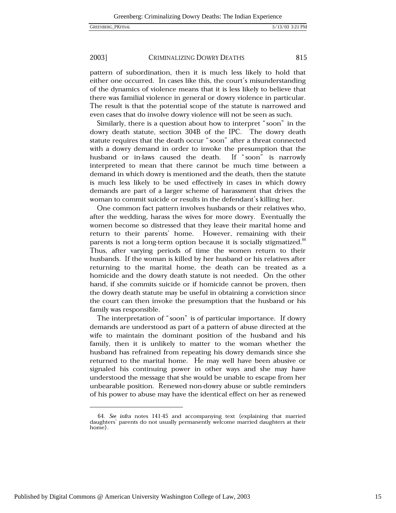#### 2003] CRIMINALIZING DOWRY DEATHS

pattern of subordination, then it is much less likely to hold that either one occurred. In cases like this, the court's misunderstanding of the dynamics of violence means that it is less likely to believe that there was familial violence in general or dowry violence in particular. The result is that the potential scope of the statute is narrowed and even cases that do involve dowry violence will not be seen as such.

Similarly, there is a question about how to interpret "soon" in the dowry death statute, section 304B of the IPC. The dowry death statute requires that the death occur "soon" after a threat connected with a dowry demand in order to invoke the presumption that the If "soon" is narrowly husband or in-laws caused the death. interpreted to mean that there cannot be much time between a demand in which dowry is mentioned and the death, then the statute is much less likely to be used effectively in cases in which dowry demands are part of a larger scheme of harassment that drives the woman to commit suicide or results in the defendant's killing her.

One common fact pattern involves husbands or their relatives who, after the wedding, harass the wives for more dowry. Eventually the women become so distressed that they leave their marital home and return to their parents' home. However, remaining with their parents is not a long-term option because it is socially stigmatized.<sup>64</sup> Thus, after varying periods of time the women return to their husbands. If the woman is killed by her husband or his relatives after returning to the marital home, the death can be treated as a homicide and the dowry death statute is not needed. On the other hand, if she commits suicide or if homicide cannot be proven, then the dowry death statute may be useful in obtaining a conviction since the court can then invoke the presumption that the husband or his family was responsible.

The interpretation of "soon" is of particular importance. If dowry demands are understood as part of a pattern of abuse directed at the wife to maintain the dominant position of the husband and his family, then it is unlikely to matter to the woman whether the husband has refrained from repeating his dowry demands since she returned to the marital home. He may well have been abusive or signaled his continuing power in other ways and she may have understood the message that she would be unable to escape from her unbearable position. Renewed non-dowry abuse or subtle reminders of his power to abuse may have the identical effect on her as renewed

<sup>64.</sup> See infra notes 141-45 and accompanying text (explaining that married daughters' parents do not usually permanently welcome married daughters at their home).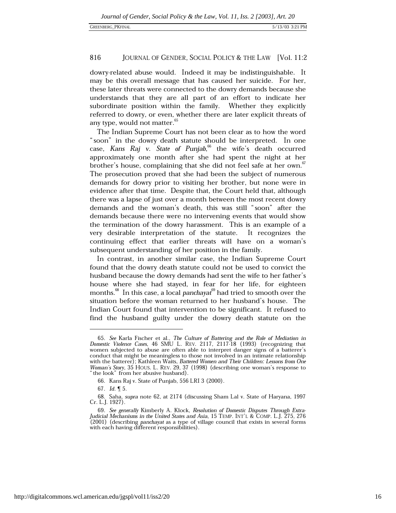dowry-related abuse would. Indeed it may be indistinguishable. It may be this overall message that has caused her suicide. For her, these later threats were connected to the dowry demands because she understands that they are all part of an effort to indicate her subordinate position within the family. Whether they explicitly referred to dowry, or even, whether there are later explicit threats of any type, would not matter.<sup>6</sup>

The Indian Supreme Court has not been clear as to how the word "soon" in the dowry death statute should be interpreted. In one case, Kans Raj v. State of Punjab, <sup>66</sup> the wife's death occurred approximately one month after she had spent the night at her brother's house, complaining that she did not feel safe at her own. The prosecution proved that she had been the subject of numerous demands for dowry prior to visiting her brother, but none were in evidence after that time. Despite that, the Court held that, although there was a lapse of just over a month between the most recent dowry demands and the woman's death, this was still "soon" after the demands because there were no intervening events that would show the termination of the dowry harassment. This is an example of a very desirable interpretation of the statute. It recognizes the continuing effect that earlier threats will have on a woman's subsequent understanding of her position in the family.

In contrast, in another similar case, the Indian Supreme Court found that the dowry death statute could not be used to convict the husband because the dowry demands had sent the wife to her father's house where she had stayed, in fear for her life, for eighteen months.<sup>68</sup> In this case, a local panchayat<sup>69</sup> had tried to smooth over the situation before the woman returned to her husband's house. The Indian Court found that intervention to be significant. It refused to find the husband guilty under the dowry death statute on the

<sup>65.</sup> See Karla Fischer et al., The Culture of Battering and the Role of Mediation in Domestic Violence Cases, 46 SMU L. REV. 2117, 2117-18 (1993) (recognizing that women subjected to abuse are often able to interpret danger signs of a batterer's conduct that might be meaningless to those not involved in an intimate relationship with the batterer); Kathleen Waits, Battered Women and Their Children: Lessons from One Woman's Story, 35 HOUS. L. REV. 29, 37 (1998) (describing one woman's response to " the look" from her abusive husband).

<sup>66.</sup> Kans Raj v. State of Punjab, 556 LRI 3 (2000).

<sup>67.</sup> *Id.*  $\sqrt{9}$  5.

<sup>68.</sup> Saha, *supra* note 62, at 2174 (discussing Sham Lal v. State of Haryana, 1997) Cr. L.J. 1927).

<sup>69.</sup> See generally Kimberly A. Klock, Resolution of Domestic Disputes Through Extra-Judicial Mechanisms in the United States and Asia, 15 TEMP. INT'L & COMP. L.J. 275, 276 (2001) (describing panchayat as a type of village council that exists in several forms with each having different responsibilities).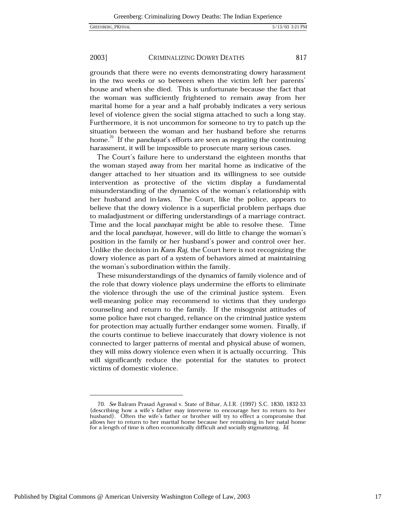#### 2003] CRIMINALIZING DOWRY DEATHS

grounds that there were no events demonstrating dowry harassment in the two weeks or so between when the victim left her parents' house and when she died. This is unfortunate because the fact that the woman was sufficiently frightened to remain away from her marital home for a year and a half probably indicates a very serious level of violence given the social stigma attached to such a long stay. Furthermore, it is not uncommon for someone to try to patch up the situation between the woman and her husband before she returns home.<sup>70</sup> If the *panchayat's* efforts are seen as negating the continuing harassment, it will be impossible to prosecute many serious cases.

The Court's failure here to understand the eighteen months that the woman stayed away from her marital home as indicative of the danger attached to her situation and its willingness to see outside intervention as protective of the victim display a fundamental misunderstanding of the dynamics of the woman's relationship with her husband and in-laws. The Court, like the police, appears to believe that the dowry violence is a superficial problem perhaps due to maladjustment or differing understandings of a marriage contract. Time and the local panchayat might be able to resolve these. Time and the local panchayat, however, will do little to change the woman's position in the family or her husband's power and control over her. Unlike the decision in Kans Raj, the Court here is not recognizing the dowry violence as part of a system of behaviors aimed at maintaining the woman's subordination within the family.

These misunderstandings of the dynamics of family violence and of the role that dowry violence plays undermine the efforts to eliminate the violence through the use of the criminal justice system. Even well-meaning police may recommend to victims that they undergo counseling and return to the family. If the misogynist attitudes of some police have not changed, reliance on the criminal justice system for protection may actually further endanger some women. Finally, if the courts continue to believe inaccurately that dowry violence is not connected to larger patterns of mental and physical abuse of women, they will miss dowry violence even when it is actually occurring. This will significantly reduce the potential for the statutes to protect victims of domestic violence.

817

<sup>70.</sup> See Balram Prasad Agrawal v. State of Bihar, A.I.R. (1997) S.C. 1830, 1832-33 (describing how a wife's father may intervene to encourage her to return to her husband). Often the wife's father or brother will try to effect a compromise that allows her to return to her marital home because her remaining in her natal home for a length of time is often economically difficult and socially stigmatizing. Id.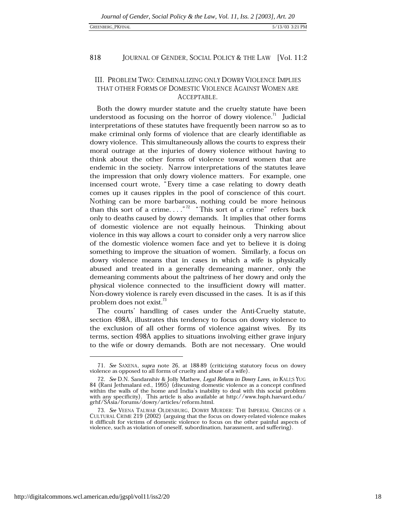### **GREENBERG PKFINAL**

#### 818 JOURNAL OF GENDER, SOCIAL POLICY & THE LAW [Vol. 11:2]

### III. PROBLEM TWO: CRIMINALIZING ONLY DOWRY VIOLENCE IMPLIES THAT OTHER FORMS OF DOMESTIC VIOLENCE AGAINST WOMEN ARE ACCEPTABLE.

Both the dowry murder statute and the cruelty statute have been understood as focusing on the horror of dowry violence. $71$  Judicial interpretations of these statutes have frequently been narrow so as to make criminal only forms of violence that are clearly identifiable as dowry violence. This simultaneously allows the courts to express their moral outrage at the injuries of dowry violence without having to think about the other forms of violence toward women that are endemic in the society. Narrow interpretations of the statutes leave the impression that only dowry violence matters. For example, one incensed court wrote, "Every time a case relating to dowry death comes up it causes ripples in the pool of conscience of this court. Nothing can be more barbarous, nothing could be more heinous than this sort of a crime.....<sup>"72</sup> "This sort of a crime" refers back only to deaths caused by dowry demands. It implies that other forms of domestic violence are not equally heinous. Thinking about violence in this way allows a court to consider only a very narrow slice of the domestic violence women face and yet to believe it is doing something to improve the situation of women. Similarly, a focus on dowry violence means that in cases in which a wife is physically abused and treated in a generally demeaning manner, only the demeaning comments about the paltriness of her dowry and only the physical violence connected to the insufficient dowry will matter. Non-dowry violence is rarely even discussed in the cases. It is as if this problem does not exist.<sup>73</sup>

The courts' handling of cases under the Anti-Cruelty statute, section 498A, illustrates this tendency to focus on dowry violence to the exclusion of all other forms of violence against wives. By its terms, section 498A applies to situations involving either grave injury to the wife or dowry demands. Both are not necessary. One would

<sup>71.</sup> See SAXENA, supra note 26, at 188-89 (criticizing statutory focus on dowry violence as opposed to all forms of cruelty and abuse of a wife).

<sup>72.</sup> See D.N. Sandanshiv & Jolly Mathew, Legal Reform in Dowry Laws, in KALI;S YUG 84 (Rani Jethmalani ed., 1995) (discussing domestic violence as a concept confined within the walls of the home and India's inability to deal with this social problem with any specificity). This article is also available at http://www.hsph.harvard.edu/ grhf/SAsia/forums/dowry/articles/reform.html.

<sup>73.</sup> See VEENA TALWAR OLDENBURG, DOWRY MURDER: THE IMPERIAL ORIGINS OF A CULTURAL CRIME 219 (2002) (arguing that the focus on dowry-related violence makes it difficult for victims of domestic violence to focus on the other painful aspects of violence, such as violation of oneself, subordination, harassment, and suffering).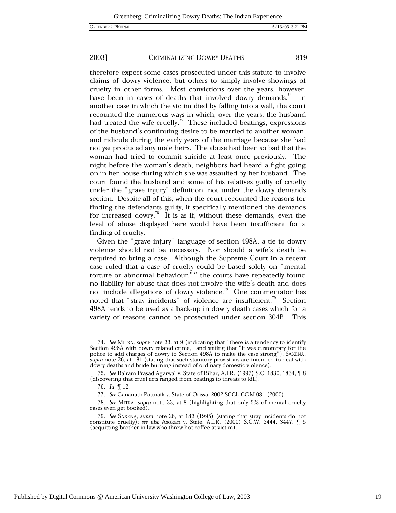#### 2003] CRIMINALIZING DOWRY DEATHS

therefore expect some cases prosecuted under this statute to involve claims of dowry violence, but others to simply involve showings of cruelty in other forms. Most convictions over the years, however, have been in cases of deaths that involved dowry demands.<sup>74</sup> In another case in which the victim died by falling into a well, the court recounted the numerous ways in which, over the years, the husband had treated the wife cruelly.<sup>75</sup> These included beatings, expressions of the husband's continuing desire to be married to another woman, and ridicule during the early years of the marriage because she had not yet produced any male heirs. The abuse had been so bad that the woman had tried to commit suicide at least once previously. The night before the woman's death, neighbors had heard a fight going on in her house during which she was assaulted by her husband. The court found the husband and some of his relatives guilty of cruelty under the "grave injury" definition, not under the dowry demands section. Despite all of this, when the court recounted the reasons for finding the defendants guilty, it specifically mentioned the demands for increased dowry.<sup>76</sup> It is as if, without these demands, even the level of abuse displayed here would have been insufficient for a finding of cruelty.

Given the "grave injury" language of section 498A, a tie to dowry violence should not be necessary. Nor should a wife's death be required to bring a case. Although the Supreme Court in a recent case ruled that a case of cruelty could be based solely on "mental torture or abnormal behaviour," $\frac{7}{7}$  the courts have repeatedly found no liability for abuse that does not involve the wife's death and does not include allegations of dowry violence.<sup>78</sup> One commentator has noted that "stray incidents" of violence are insufficient.<sup>79</sup> Section 498A tends to be used as a back-up in dowry death cases which for a variety of reasons cannot be prosecuted under section 304B. This

<sup>74.</sup> See MITRA, supra note 33, at 9 (indicating that "there is a tendency to identify Section 498A with dowry related crime," and stating that "it was customrary for the police to add charges of dowry to Section 498A to make the case strong"); SAXENA, supra note 26, at 181 (stating that such statutory provisions are intended to deal with dowry deaths and bride burning instead of ordinary domestic violence).

<sup>75.</sup> See Balram Prasad Agarwal v. State of Bihar, A.I.R. (1997) S.C. 1830, 1834, ¶ 8 (discovering that cruel acts ranged from beatings to threats to kill).

<sup>76.</sup> Id. 112.

<sup>77.</sup> See Gananath Pattnaik v. State of Orissa, 2002 SCCL.COM 081 (2000).

<sup>78.</sup> See MITRA, supra note 33, at 8 (highlighting that only 5% of mental cruelty cases even get booked).

<sup>79.</sup> See SAXENA, supra note 26, at 183 (1995) (stating that stray incidents do not constitute cruelty); see also Asokan v. State, A.I.R. (2000) S.C.W. 3444, 3447,  $\P$  5 (acquitting brother-in-law who threw hot coffee at victim).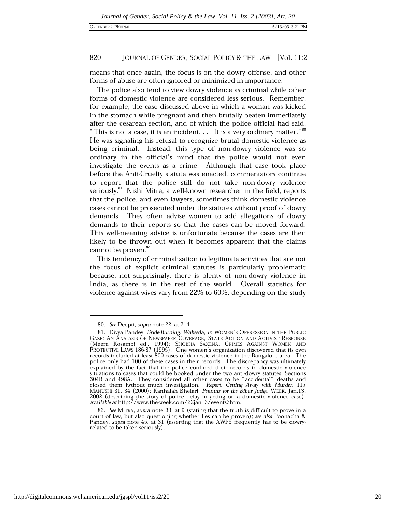means that once again, the focus is on the dowry offense, and other forms of abuse are often ignored or minimized in importance.

The police also tend to view dowry violence as criminal while other forms of domestic violence are considered less serious. Remember, for example, the case discussed above in which a woman was kicked in the stomach while pregnant and then brutally beaten immediately after the cesarean section, and of which the police official had said, "This is not a case, it is an incident.... It is a very ordinary matter."  $80$ He was signaling his refusal to recognize brutal domestic violence as being criminal. Instead, this type of non-dowry violence was so ordinary in the official's mind that the police would not even investigate the events as a crime. Although that case took place before the Anti-Cruelty statute was enacted, commentators continue to report that the police still do not take non-dowry violence seriously.<sup>81</sup> Nishi Mitra, a well-known researcher in the field, reports that the police, and even lawyers, sometimes think domestic violence cases cannot be prosecuted under the statutes without proof of dowry demands. They often advise women to add allegations of dowry demands to their reports so that the cases can be moved forward. This well-meaning advice is unfortunate because the cases are then likely to be thrown out when it becomes apparent that the claims cannot be proven.<sup>82</sup>

This tendency of criminalization to legitimate activities that are not the focus of explicit criminal statutes is particularly problematic because, not surprisingly, there is plenty of non-dowry violence in India, as there is in the rest of the world. Overall statistics for violence against wives vary from 22% to 60%, depending on the study

<sup>80.</sup> See Deepti, supra note 22, at 214.

<sup>81.</sup> Divya Pandey, Bride-Burning: Waheeda, in WOMEN'S OPPRESSION IN THE PUBLIC GAZE: AN ANALYSIS OF NEWSPAPER COVERAGE, STATE ACTION AND ACTIVIST RESPONSE (Meera Kosambi ed., 1994); SHOBHA SAXENA, CRIMES AGAINST WOMEN AND PROTECTIVE LAWS 186-87 (1995). One women's organization discovered that its own records included at least 800 cases of domestic violence in the Bangalore area. The police only had 100 of these cases in their records. The discrepancy was ultimately explained by the fact that the police confined their records in domestic violence situations to cases that could be booked under the two anti-dowry statutes, Sections 304B and 498A. They considered all other cases to be "accidental" deaths and closed them iwthout much investigation. Report: Getting Away with Murder, 117 MANUSHI 31, 34 (2000); Kanhaiah Bhelari, *Peanuts for the Bihar Judge*, WEEK, Jan.13, 2002 (describing the story of police delay in acting on a domestic violence case), available at http://www.the-week.com/22jan13/events3htm.

<sup>82.</sup> See MITRA, supra note 33, at 9 (stating that the truth is difficult to prove in a court of law, but also questioning whether lies can be proven); see also Poonacha & Pandey, supra note 45, at 31 (asserting that the AWPS frequently has to be dowryrelated to be taken seriously).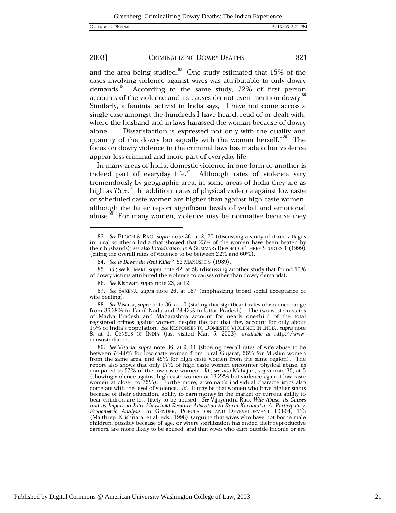#### 2003] CRIMINALIZING DOWRY DEATHS 821

and the area being studied.<sup>83</sup> One study estimated that 15% of the cases involving violence against wives was attributable to only dowry demands.<sup>84</sup> According to the same study, 72% of first person accounts of the violence and its causes do not even mention dowry.<sup>85</sup> Similarly, a feminist activist in India says, "I have not come across a single case amongst the hundreds I have heard, read of or dealt with, where the husband and in-laws harassed the woman because of dowry alone.... Dissatisfaction is expressed not only with the quality and quantity of the dowry but equally with the woman herself."<sup>86</sup> The focus on dowry violence in the criminal laws has made other violence appear less criminal and more part of everyday life.

In many areas of India, domestic violence in one form or another is indeed part of everyday life.<sup>87</sup> Although rates of violence vary tremendously by geographic area, in some areas of India they are as high as 75%.<sup>88</sup> In addition, rates of physical violence against low caste or scheduled caste women are higher than against high caste women, although the latter report significant levels of verbal and emotional abuse.<sup>89</sup> For many women, violence may be normative because they

<sup>83.</sup> See BLOCH & RAO, supra note 36, at 2, 20 (discussing a study of three villages in rural southern India that showed that 23% of the women have been beaten by their husbands); see also Introduction, in A SUMMARY REPORT OF THREE STUDIES 1 (1999) (citing the overall rates of violence to be between 22% and 60%).

<sup>84.</sup> See Is Dowry the Real Killer?, 53 MANUSHI 5 (1989).

<sup>85.</sup> Id.; see KUMARI, supra note 42, at 58 (discussing another study that found 50% of dowry victims attributed the violence to causes other than dowry demands).

<sup>86.</sup> See Kishwar, supra note 23, at 12.

<sup>87.</sup> See SAXENA, supra note 26, at 187 (emphasizing broad social acceptance of wife beating).

<sup>88.</sup> See Visaria, supra note 36, at 10 (stating that significant rates of violence range from 36-38% in Tamil Nadu and 28-42% in Uttar Pradesh). The two western states of Madya Pradesh and Maharashtra account for nearly one-third of the total registered crimes against women, despite the fact that they account for only about 15% of India's population. See RESPONSES TO DOMESTIC VIOLENCE IN INDIA, supra note 8, at 1; CENSUS OF INDIA (last visited Mar. 5, 2003), available at http://www. censusindia.net.

<sup>89.</sup> See Visaria, supra note 36, at 9, 11 (showing overall rates of wife abuse to be between 74-80% for low caste women from rural Gujarat, 56% for Muslim women from the same area, and 45% for high caste women from the same region). The report also shows that only 17% of high caste women encounter physical abuse, as compared to 57% of the low caste women. Id.; see also Mahajan, supra note 35, at 5 (showing violence against high caste women at 13-22% but violence against low caste<br>women at closer to 75%). Furthermore, a woman's individual characteristics also correlate with the level of violence. Id. It may be that women who have higher status because of their education, ability to earn money in the market or current ability to bear children are less likely to be abused. See Vijayendra Rao, Wife Abuse, its Causes and its Impact on Intra-Household Resource Allocation in Rural Karnataka: A 'Participatory Econometric Analysis, in GENDER, POPULATION AND DEVEVELOPMENT 103-04, 113 (Maithreyi Krishnaraj et al. eds., 1998) (arguing that wives who have not borne male children, possibly because of age, or where sterilization has ended their reproductive careers, are more likely to be abused, and that wives who earn outside income or are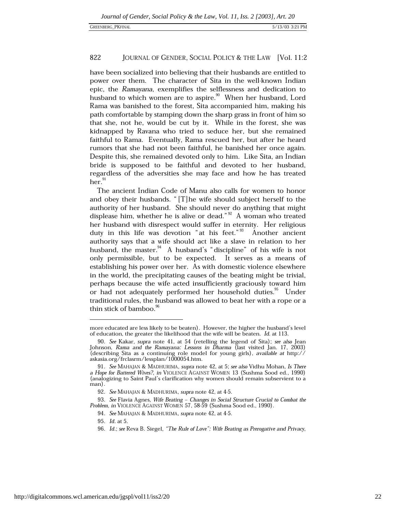have been socialized into believing that their husbands are entitled to power over them. The character of Sita in the well-known Indian epic, the Ramayana, exemplifies the selflessness and dedication to husband to which women are to aspire.<sup>90</sup> When her husband, Lord Rama was banished to the forest, Sita accompanied him, making his path comfortable by stamping down the sharp grass in front of him so that she, not he, would be cut by it. While in the forest, she was kidnapped by Ravana who tried to seduce her, but she remained faithful to Rama. Eventually, Rama rescued her, but after he heard rumors that she had not been faithful, he banished her once again. Despite this, she remained devoted only to him. Like Sita, an Indian bride is supposed to be faithful and devoted to her husband, regardless of the adversities she may face and how he has treated  $her.<sup>91</sup>$ 

The ancient Indian Code of Manu also calls for women to honor and obey their husbands. "[T] he wife should subject herself to the authority of her husband. She should never do anything that might displease him, whether he is alive or dead."  $\frac{92}{2}$  A woman who treated her husband with disrespect would suffer in eternity. Her religious duty in this life was devotion "at his feet."<sup>33</sup> Another ancient authority says that a wife should act like a slave in relation to her husband, the master.<sup>94</sup> A husband's "discipline" of his wife is not only permissible, but to be expected. It serves as a means of establishing his power over her. As with domestic violence elsewhere in the world, the precipitating causes of the beating might be trivial, perhaps because the wife acted insufficiently graciously toward him or had not adequately performed her household duties.<sup>95</sup> Under traditional rules, the husband was allowed to beat her with a rope or a thin stick of bamboo.<sup>96</sup>

more educated are less likely to be beaten). However, the higher the husband's level of education, the greater the likelihood that the wife will be beaten. Id. at 113.

<sup>90.</sup> See Kakar, supra note 41, at 54 (retelling the legend of Sita); see also Jean Johnson, Rama and the Ramayana: Lessons in Dharma (last visited Jan. 17, 2003) (describing Sita as a continuing role model for young girls), available at http:// askasia.org/frclasrm/lessplan/1000054.htm.

<sup>91.</sup> See MAHAJAN & MADHURIMA, supra note 42, at 5; see also Vidhu Mohan, Is There a Hope for Battered Wives?, in VIOLENCE AGAINST WOMEN 13 (Sushma Sood ed., 1990) (analogizing to Saint Paul's clarification why women should remain subservient to a man).

<sup>92.</sup> See MAHAJAN & MADHURIMA, supra note 42, at 4-5.

<sup>93.</sup> See Flavia Agnes, Wife Beating - Changes in Social Structure Crucial to Combat the Problem, in VIOLENCE AGAINST WOMEN 57, 58-59 (Sushma Sood ed., 1990).

<sup>94.</sup> See MAHAJAN & MADHURIMA, supra note 42, at 4-5.

<sup>95.</sup> *Id.* at 5.

<sup>96.</sup> Id.; see Reva B. Siegel, "The Rule of Love": Wife Beating as Prerogative and Privacy,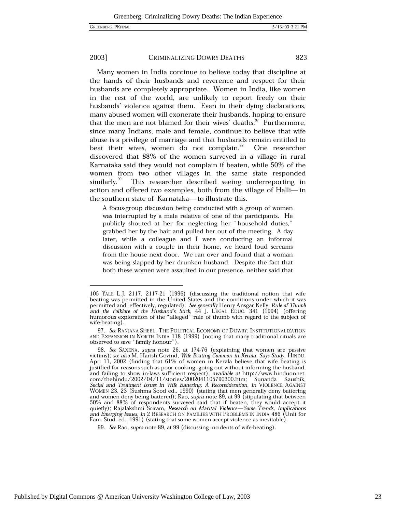#### 2003] CRIMINALIZING DOWRY DEATHS

Many women in India continue to believe today that discipline at the hands of their husbands and reverence and respect for their husbands are completely appropriate. Women in India, like women in the rest of the world, are unlikely to report freely on their husbands' violence against them. Even in their dying declarations, many abused women will exonerate their husbands, hoping to ensure that the men are not blamed for their wives' deaths. Furthermore, since many Indians, male and female, continue to believe that wife abuse is a privilege of marriage and that husbands remain entitled to beat their wives, women do not complain.<sup>98</sup> One researcher discovered that 88% of the women surveyed in a village in rural Karnataka said they would not complain if beaten, while 50% of the women from two other villages in the same state responded similarly.<sup>99</sup> This researcher described seeing underreporting in action and offered two examples, both from the village of Halli-in the southern state of Karnataka- to illustrate this.

A focus-group discussion being conducted with a group of women was interrupted by a male relative of one of the participants. He publicly shouted at her for neglecting her "household duties," grabbed her by the hair and pulled her out of the meeting. A day later, while a colleague and I were conducting an informal discussion with a couple in their home, we heard loud screams from the house next door. We ran over and found that a woman was being slapped by her drunken husband. Despite the fact that both these women were assaulted in our presence, neither said that

<sup>105</sup> YALE L.J. 2117, 2117-21 (1996) (discussing the traditional notion that wife beating was permitted in the United States and the conditions under which it was bermitted and, effectively, regulated). See generally Henry Ansgar Kelly, Rule of Thumb<br>and the Folklore of the Husband's Stick, 44 J. LEGAL EDUC. 341 (1994) (offering<br>humorous exploration of the "alleged" rule of thumb wi wife-beating).

<sup>97.</sup> See RANJANA SHEEL, THE POLITICAL ECONOMY OF DOWRY: INSTITUTIONALIZATION AND EXPANSION IN NORTH INDIA 118 (1999) (noting that many traditional rituals are observed to save "family honour").

<sup>98.</sup> See SAXENA, supra note 26, at 174-76 (explaining that women are passive victims); see also M. Harish Govind, Wife Beating Common in Kerala, Says Study, HINDU, Apr. 11, 2002 (finding that 61% of women in Kerala believe that wife beating is justified for reasons such as poor cooking, going out without informing the husband, and failing to show in-laws sufficient respect), available at http://www.hinduonnet.<br>com/thehindu/2002/04/11/stories/2002041105790300.htm; Sunanda Kaushik, Social and Treatment Issues in Wife Battering: A Reconsideration, in VIOLENCE AGAINST VOMEN 23, 23 (Sushma Sood ed., 1990) (stating that men generally deny battering<br>and women deny being battered); Rao, *supra* note 89, at 99 (stipulating that between 50% and 88% of respondents surveyed said that if beaten, they would accept it quietly); Rajalakshmi Sriram, Research on Marital Violence—Some Trends, Implications and Emerging Issues, in 2 RESEARCH ON FAMILIES WITH PROBLEMS IN INDIA 486 (Unit for Fam. Stud. ed., 1991) (stating that some women accept violence as inevitable).

<sup>99.</sup> See Rao, supra note 89, at 99 (discussing incidents of wife-beating).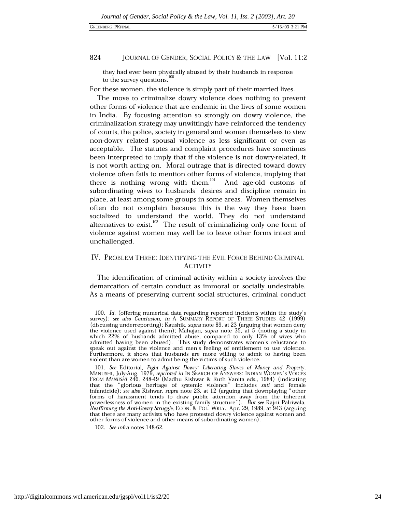### **GREENBERG PKFINAL**

#### 824 JOURNAL OF GENDER, SOCIAL POLICY & THE LAW [Vol. 11:2]

they had ever been physically abused by their husbands in response to the survey questions.<sup>100</sup>

For these women, the violence is simply part of their married lives.

The move to criminalize dowry violence does nothing to prevent other forms of violence that are endemic in the lives of some women in India. By focusing attention so strongly on dowry violence, the criminalization strategy may unwittingly have reinforced the tendency of courts, the police, society in general and women themselves to view non-dowry related spousal violence as less significant or even as acceptable. The statutes and complaint procedures have sometimes been interpreted to imply that if the violence is not dowry-related, it is not worth acting on. Moral outrage that is directed toward dowry violence often fails to mention other forms of violence, implying that there is nothing wrong with them.<sup>101</sup> And age-old customs of subordinating wives to husbands' desires and discipline remain in place, at least among some groups in some areas. Women themselves often do not complain because this is the way they have been socialized to understand the world. They do not understand alternatives to exist.<sup>102</sup> The result of criminalizing only one form of violence against women may well be to leave other forms intact and unchallenged.

### IV. PROBLEM THREE: IDENTIFYING THE EVIL FORCE BEHIND CRIMINAL **ACTIVITY**

The identification of criminal activity within a society involves the demarcation of certain conduct as immoral or socially undesirable. As a means of preserving current social structures, criminal conduct

102. See infra notes 148-62.

<sup>100.</sup> Id. (offering numerical data regarding reported incidents within the study's survey); see also Conclusion, in A SUMMARY REPORT OF THREE STUDIES 42 (1999) (discussing underreporting); Kaushik, supra note 89, at 23 (arguing that women deny the violence used against them); Mahajan, supra note 35, at 5 (noting a study in which 22% of husbands admitted abuse, compared to only 13% of wives who admitted having been abused). This study demonstrates women's reluctance to speak out against the violence and men's feeling of entitlement to use violence. Furthermore, it shows that husbands are more willing to admit to having been violent than are women to admit being the victims of such violence.

<sup>101.</sup> See Editorial, Fight Against Dowry: Liberating Slaves of Money and Property, MANUSHI, July-Aug. 1979, reprinted in IN SEARCH OF ANSWERS: INDIAN WOMEN'S VOICES<br>FROM MANUSHI 246, 248-49 (Madhu Kishwar & Ruth Vanita eds., 1984) (indicating that the "glorious heritage of systemic violence" includes sati and female infanticide); see also Kishwar, supra note 23, at 12 (arguing that downplaying "other forms of harassment tends to draw public attention away from the inherent<br>powerlessness of women in the existing family structure"). But see Rajni Palriwala, Reaffirming the Anti-Dowry Struggle, ECON. & POL. WKLY., Apr. 29, 1989, at 943 (arguing that there are many activists who have protested dowry violence against women and other forms of violence and other means of subordinating women).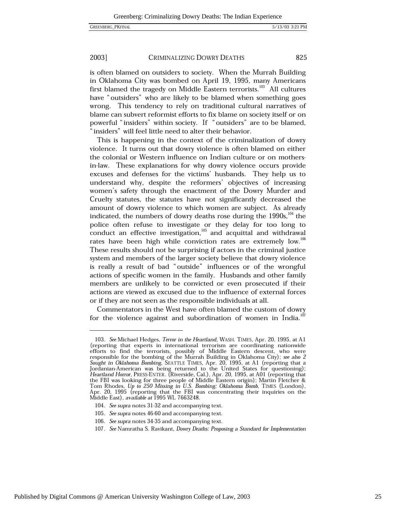#### 2003] CRIMINALIZING DOWRY DEATHS

is often blamed on outsiders to society. When the Murrah Building in Oklahoma City was bombed on April 19, 1995, many Americans first blamed the tragedy on Middle Eastern terrorists.<sup>103</sup> All cultures have "outsiders" who are likely to be blamed when something goes wrong. This tendency to rely on traditional cultural narratives of blame can subvert reformist efforts to fix blame on society itself or on powerful "insiders" within society. If "outsiders" are to be blamed, "insiders" will feel little need to alter their behavior.

This is happening in the context of the criminalization of dowry violence. It turns out that dowry violence is often blamed on either the colonial or Western influence on Indian culture or on mothersin-law. These explanations for why dowry violence occurs provide excuses and defenses for the victims' husbands. They help us to understand why, despite the reformers' objectives of increasing women's safety through the enactment of the Dowry Murder and Cruelty statutes, the statutes have not significantly decreased the amount of dowry violence to which women are subject. As already indicated, the numbers of dowry deaths rose during the  $1990s$ ,  $^{104}$  the police often refuse to investigate or they delay for too long to conduct an effective investigation,<sup>105</sup> and acquittal and withdrawal rates have been high while conviction rates are extremely low.<sup>106</sup> These results should not be surprising if actors in the criminal justice system and members of the larger society believe that dowry violence is really a result of bad "outside" influences or of the wrongful actions of specific women in the family. Husbands and other family members are unlikely to be convicted or even prosecuted if their actions are viewed as excused due to the influence of external forces or if they are not seen as the responsible individuals at all.

Commentators in the West have often blamed the custom of dowry for the violence against and subordination of women in India.<sup>107</sup>

106. See supra notes 34-35 and accompanying text.

<sup>103.</sup> See Michael Hedges, Terror in the Heartland, WASH. TIMES, Apr. 20, 1995, at A1 The Fernandine Headers, Henri and Fernandine and the coordinating nationwide<br>efforts to find the terrorists, possibly of Middle Eastern descent, who were<br>responsible for the bombing of the Murrah Building in Oklahoma City) the FBI was looking for three people of Middle Eastern origin); Martin Fletcher & Tom Rhodes, Up to 250 Missing in U.S. Bombing; Oklahoma Bomb, TIMES (London), Apr. 20, 1995 (reporting that the FBI was concentrating their inquiries on the Middle East), available at 1995 WL 7663248.

<sup>104.</sup> See supra notes 31-32 and accompanying text.

<sup>105.</sup> See supra notes 46-60 and accompanying text.

<sup>107.</sup> See Namratha S. Ravikant, Dowry Deaths: Proposing a Standard for Implementation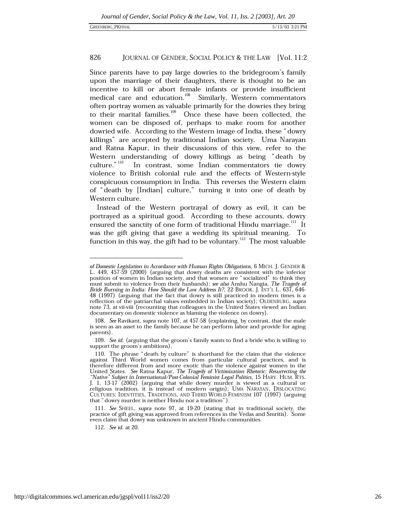Since parents have to pay large dowries to the bridegroom's family upon the marriage of their daughters, there is thought to be an incentive to kill or abort female infants or provide insufficient medical care and education.<sup>108</sup> Similarly, Western commentators often portray women as valuable primarily for the dowries they bring to their marital families.<sup>109</sup> Once these have been collected, the women can be disposed of, perhaps to make room for another dowried wife. According to the Western image of India, these "dowry killings" are accepted by traditional Indian society. Uma Narayan and Ratna Kapur, in their discussions of this view, refer to the Western understanding of dowry killings as being "death by  $cutture."$ <sup>110</sup> In contrast, some Indian commentators tie dowry violence to British colonial rule and the effects of Western-style conspicuous consumption in India. This reverses the Western claim of "death by [Indian] culture," turning it into one of death by Western culture.

Instead of the Western portrayal of dowry as evil, it can be portrayed as a spiritual good. According to these accounts, dowry ensured the sanctity of one form of traditional Hindu marriage.<sup>111</sup> It was the gift giving that gave a wedding its spiritual meaning. To function in this way, the gift had to be voluntary.<sup>112</sup> The most valuable

of Domestic Legislation in Accordance with Human Rights Obligations, 6 MICH. J. GENDER & L. 449, 457-59 (2000) (arguing that dowry deaths are consistent with the inferior position of women in Indian society, and that women are "socialized" to think they must submit to violence from their husbands); see also Anshu Nangia, The Tragedy of Bride Burning in India: How Should the Law Address It?, 22 BROOK. J. INT'L L. 637, 646-48 (1997) (arguing that the fact that dowry is still practiced in modern times is a reflection of the patriarchal values embedded in Indian society); OLDENBURG, supra note 73, at vii-viii (recounting that colleagues in the United States viewed an Indian documentary on domestic violence as blaming the violence on dowry).

<sup>108.</sup> See Ravikant, supra note 107, at 457-58 (explaining, by contrast, that the male is seen as an asset to the family because he can perform labor and provide for aging parents).

<sup>109.</sup> See id. (arguing that the groom's family wants to find a bride who is willing to support the groom's ambitions).

<sup>110.</sup> The phrase "death by culture" is shorthand for the claim that the violence against Third World women comes from particular cultural practices, and is therefore different from and more exotic than the violence against women in the United States. See Ratna Kapur, The Tragedy of Victimization Rhetoric: Resurrecting the "Native" Subject in International/Post-Colonial Feminist Legal Politics, 15 HARV. HUM. RTS.  $\left[1, 1, 13, 17\right]$  (2002) (arguing that while dowry murder is viewed as a cultural or religious tradition, it is instead of modern origin); UMA NARAYAN, DISLOCATING CULTURES: IDENTITIES, TRADITIONS, AND THIRD WORLD FEMINISM 107 (1997) (arguing that "dowry murder is neither Hindu nor a tradition").

<sup>111.</sup> See SHEEL, supra note 97, at 19-20 (stating that in traditional society, the practice of gift giving was approved from references in the Vedas and Smritis). Some even claim that dowry was unknown in ancient Hindu communities.

<sup>112.</sup> See id. at 20.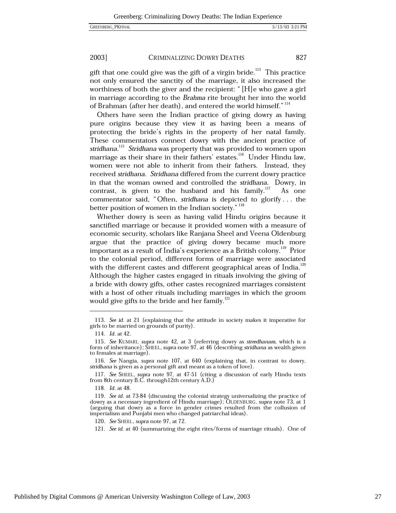#### 2003] CRIMINALIZING DOWRY DEATHS

gift that one could give was the gift of a virgin bride.<sup>113</sup> This practice not only ensured the sanctity of the marriage, it also increased the worthiness of both the giver and the recipient: "[H]e who gave a girl in marriage according to the Brahma rite brought her into the world of Brahman (after her death), and entered the world himself."<sup>114</sup>

Others have seen the Indian practice of giving dowry as having pure origins because they view it as having been a means of protecting the bride's rights in the property of her natal family. These commentators connect dowry with the ancient practice of stridhana.<sup>115</sup> Stridhana was property that was provided to women upon marriage as their share in their fathers' estates.<sup>116</sup> Under Hindu law, women were not able to inherit from their fathers. Instead, they received stridhana. Stridhana differed from the current dowry practice in that the woman owned and controlled the stridhana. Dowry, in contrast, is given to the husband and his family. $^{117}$ As one commentator said, "Often, stridhana is depicted to glorify... the better position of women in the Indian society."<sup>118</sup>

Whether dowry is seen as having valid Hindu origins because it sanctified marriage or because it provided women with a measure of economic security, scholars like Ranjana Sheel and Veena Oldenburg argue that the practice of giving dowry became much more important as a result of India's experience as a British colony.<sup>119</sup> Prior to the colonial period, different forms of marriage were associated with the different castes and different geographical areas of India.<sup>120</sup> Although the higher castes engaged in rituals involving the giving of a bride with dowry gifts, other castes recognized marriages consistent with a host of other rituals including marriages in which the groom would give gifts to the bride and her family.<sup>121</sup>

<sup>113.</sup> See id. at 21 (explaining that the attitude in society makes it imperative for girls to be married on grounds of purity).

<sup>114.</sup> Id. at 42.

<sup>115.</sup> See KUMARI, supra note 42, at 3 (referring dowry as streedhanam, which is a form of inheritance); SHEEL, supra note 97, at 46 (describing stridhana as wealth given to females at marriage).

<sup>116.</sup> See Nangia, supra note 107, at 640 (explaining that, in contrast to dowry, stridhana is given as a personal gift and meant as a token of love).

<sup>117.</sup> See SHEEL, supra note 97, at 47-51 (citing a discussion of early Hindu texts from 8th century B.C. through 12th century A.D.)

<sup>118.</sup> Id. at 48.

<sup>119.</sup> See id. at 73-84 (discussing the colonial strategy universalizing the practice of dowry as a necessary ingredient of Hindu marriage); OLDENBURG, supra note 73, at 1 (arguing that dowry as a force in gender crimes resulted from the collusion of imperialism and Punjabi men who changed patriarchal ideas).

<sup>120.</sup> See SHEEL, supra note 97, at 72.

<sup>121.</sup> See id. at 40 (summarizing the eight rites/forms of marriage rituals). One of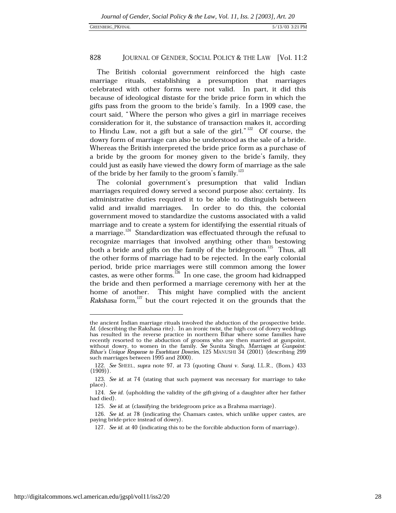The British colonial government reinforced the high caste marriage rituals, establishing a presumption that marriages celebrated with other forms were not valid. In part, it did this because of ideological distaste for the bride price form in which the gifts pass from the groom to the bride's family. In a 1909 case, the court said, "Where the person who gives a girl in marriage receives consideration for it, the substance of transaction makes it, according to Hindu Law, not a gift but a sale of the girl."<sup>122</sup> Of course, the dowry form of marriage can also be understood as the sale of a bride. Whereas the British interpreted the bride price form as a purchase of a bride by the groom for money given to the bride's family, they could just as easily have viewed the dowry form of marriage as the sale of the bride by her family to the groom's family.<sup>123</sup>

The colonial government's presumption that valid Indian marriages required dowry served a second purpose also: certainty. Its administrative duties required it to be able to distinguish between In order to do this, the colonial valid and invalid marriages. government moved to standardize the customs associated with a valid marriage and to create a system for identifying the essential rituals of a marriage.<sup>124</sup> Standardization was effectuated through the refusal to recognize marriages that involved anything other than bestowing both a bride and gifts on the family of the bridegroom.<sup>125</sup> Thus, all the other forms of marriage had to be rejected. In the early colonial period, bride price marriages were still common among the lower castes, as were other forms.  $^{126}$  In one case, the groom had kidnapped the bride and then performed a marriage ceremony with her at the home of another. This might have complied with the ancient Rakshasa form, $^{127}$  but the court rejected it on the grounds that the

the ancient Indian marriage rituals involved the abduction of the prospective bride. Id. (describing the Rakshasa rite). In an ironic twist, the high cost of dowry weddings has resulted in the reverse practice in northern Bihar where some families have recently resorted to the abduction of grooms who are then married at gunpoint, without dowry, to women in the family. See Sunita Singh, Marriages at Gunpoint: Bihar's Unique Response to Exorbitant Dowries, 125 MANUSHI 34 (2001) (describing 299 such marriages between 1995 and 2000).

<sup>122.</sup> See SHEEL, supra note 97, at 73 (quoting Chuni v. Suraj, I.L.R., (Bom.) 433  $(1909)$ .

<sup>123.</sup> See id. at 74 (stating that such payment was necessary for marriage to take place)

<sup>124.</sup> See id. (upholding the validity of the gift-giving of a daughter after her father had died).

<sup>125.</sup> See id. at (classifying the bridegroom price as a Brahma marriage).

<sup>126.</sup> See id. at 78 (indicating the Chamars castes, which unlike upper castes, are paying bride-price instead of dowry).

<sup>127.</sup> See id. at 40 (indicating this to be the forcible abduction form of marriage).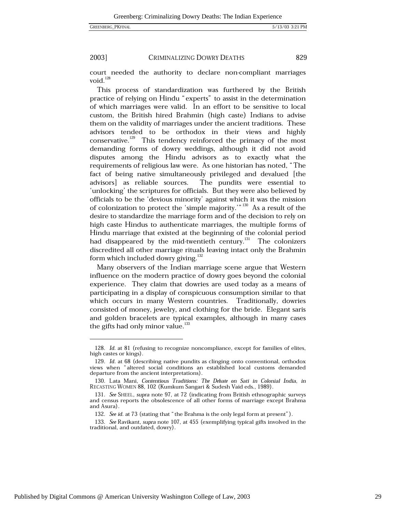GREENBERG\_PKFINAL

2003]

### CRIMINALIZING DOWRY DEATHS

829

court needed the authority to declare non-compliant marriages void. $128$ 

This process of standardization was furthered by the British practice of relying on Hindu "experts" to assist in the determination of which marriages were valid. In an effort to be sensitive to local custom, the British hired Brahmin (high caste) Indians to advise them on the validity of marriages under the ancient traditions. These advisors tended to be orthodox in their views and highly conservative.<sup>129</sup> This tendency reinforced the primacy of the most demanding forms of dowry weddings, although it did not avoid disputes among the Hindu advisors as to exactly what the requirements of religious law were. As one historian has noted, "The fact of being native simultaneously privileged and devalued [the advisors as reliable sources. The pundits were essential to 'unlocking' the scriptures for officials. But they were also believed by officials to be the 'devious minority' against which it was the mission of colonization to protect the 'simple majority.'" 130 As a result of the desire to standardize the marriage form and of the decision to rely on high caste Hindus to authenticate marriages, the multiple forms of Hindu marriage that existed at the beginning of the colonial period had disappeared by the mid-twentieth century.<sup>131</sup> The colonizers discredited all other marriage rituals leaving intact only the Brahmin form which included dowry giving.<sup>132</sup>

Many observers of the Indian marriage scene argue that Western influence on the modern practice of dowry goes beyond the colonial experience. They claim that dowries are used today as a means of participating in a display of conspicuous consumption similar to that which occurs in many Western countries. Traditionally, dowries consisted of money, jewelry, and clothing for the bride. Elegant saris and golden bracelets are typical examples, although in many cases the gifts had only minor value.<sup>133</sup>

<sup>128.</sup> Id. at 81 (refusing to recognize noncompliance, except for families of elites, high castes or kings).

<sup>129.</sup> Id. at 68 (describing native pundits as clinging onto conventional, orthodox views when "altered social conditions an established local customs demanded departure from the ancient interpretations).

<sup>130.</sup> Lata Mani, Contentious Traditions: The Debate on Sati in Colonial India, in RECASTING WOMEN 88, 102 (Kumkum Sangari & Sudesh Vaid eds., 1989).

<sup>131.</sup> See SHEEL, supra note 97, at 72 (indicating from British ethnographic surveys and census reports the obsolescence of all other forms of marriage except Brahma and Asura).

<sup>132.</sup> See id. at 73 (stating that "the Brahma is the only legal form at present").

<sup>133.</sup> See Ravikant, supra note 107, at 455 (exemplifying typical gifts involved in the traditional, and outdated, dowry).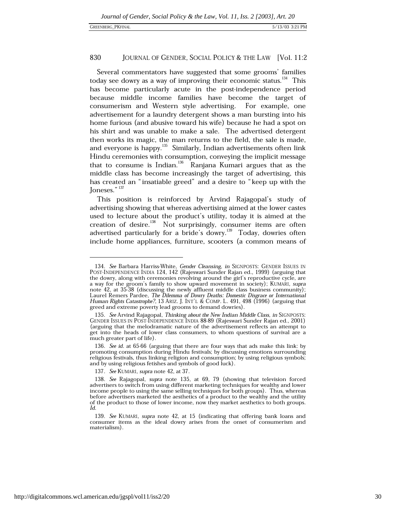Several commentators have suggested that some grooms' families today see dowry as a way of improving their economic status.<sup>134</sup> This has become particularly acute in the post-independence period because middle income families have become the target of consumerism and Western style advertising. For example, one advertisement for a laundry detergent shows a man bursting into his home furious (and abusive toward his wife) because he had a spot on his shirt and was unable to make a sale. The advertised detergent then works its magic, the man returns to the field, the sale is made, and everyone is happy.<sup>135</sup> Similarly, Indian advertisements often link Hindu ceremonies with consumption, conveying the implicit message that to consume is Indian.<sup>136</sup> Ranjana Kumari argues that as the middle class has become increasingly the target of advertising, this has created an "insatiable greed" and a desire to "keep up with the Joneses."<sup>137</sup>

This position is reinforced by Arvind Rajagopal's study of advertising showing that whereas advertising aimed at the lower castes used to lecture about the product's utility, today it is aimed at the creation of desire.<sup>138</sup> Not surprisingly, consumer items are often advertised particularly for a bride's dowry.<sup>139</sup> Today, dowries often include home appliances, furniture, scooters (a common means of

<sup>134.</sup> See Barbara Harriss-White, Gender Cleansing, in SIGNPOSTS: GENDER ISSUES IN POST-INDEPENDENCE INDIA 124, 142 (Rajeswari Sunder Rajan ed., 1999) (arguing that the dowry, along with ceremonies revolving around the girl's reproductive cycle, are a way for the groom's family to show upward movement in society); KUMARI, supra a way for the groom's ranny to show upward instead on society, community);<br>note 42, at 35-38 (discussing the newly affluent middle class business community);<br>Laurel Remers Pardee, The Dilemma of Dowry Deaths: Domestic Disg Human Rights Catastrophe?, 13 ARIZ. J. INT'L & COMP. L. 491, 498 (1996) (arguing that greed and extreme poverty lead grooms to demand dowries).

<sup>135.</sup> See Arvind Rajagopal, Thinking about the New Indian Middle Class, in SIGNPOSTS: GENDER ISSUES IN POST-INDEPENDENCE INDIA 88-89 (Rajeswari Sunder Rajan ed., 2001) (arguing that the melodramatic nature of the advertisement reflects an attempt to get into the heads of lower class consumers, to whom questions of survival are a much greater part of life).

<sup>136.</sup> See id. at 65-66 (arguing that there are four ways that ads make this link: by promoting consumption during Hindu festivals; by discussing emotions surrounding religious festivals, thus linking religion and consumption; by using religious symbols; and by using religious fetishes and symbols of good luck).

<sup>137.</sup> See KUMARI, supra note 42, at 37.

<sup>138.</sup> See Rajagopal, supra note 135, at 69, 79 (showing that television forced advertisers to switch from using different marketing techniques for wealthy and lower income people to using the same selling techniques for both groups). Thus, whereas before advertisers marketed the aesthetics of a product to the wealthy and the utility of the product to those of lower income, now they market aesthetics to both groups. Id.

<sup>139.</sup> See KUMARI, supra note 42, at 15 (indicating that offering bank loans and consumer items as the ideal dowry arises from the onset of consumerism and materialism).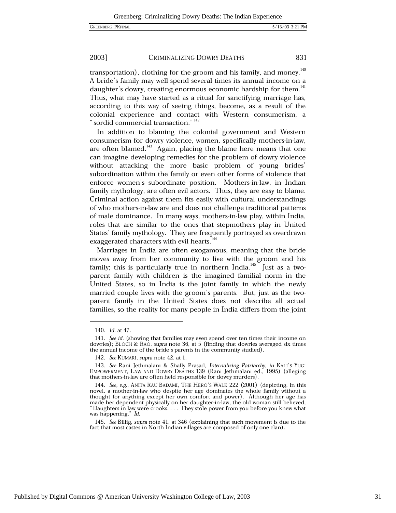#### 2003] CRIMINALIZING DOWRY DEATHS

transportation), clothing for the groom and his family, and money.<sup>140</sup> A bride's family may well spend several times its annual income on a daughter's dowry, creating enormous economic hardship for them.<sup>141</sup> Thus, what may have started as a ritual for sanctifying marriage has, according to this way of seeing things, become, as a result of the colonial experience and contact with Western consumerism, a " sordid commercial transaction." 142

In addition to blaming the colonial government and Western consumerism for dowry violence, women, specifically mothers-in-law, are often blamed.<sup>143</sup> Again, placing the blame here means that one can imagine developing remedies for the problem of dowry violence without attacking the more basic problem of young brides' subordination within the family or even other forms of violence that enforce women's subordinate position. Mothers-in-law, in Indian family mythology, are often evil actors. Thus, they are easy to blame. Criminal action against them fits easily with cultural understandings of who mothers-in-law are and does not challenge traditional patterns of male dominance. In many ways, mothers-in-law play, within India, roles that are similar to the ones that stepmothers play in United States' family mythology. They are frequently portrayed as overdrawn exaggerated characters with evil hearts.<sup>144</sup>

Marriages in India are often exogamous, meaning that the bride moves away from her community to live with the groom and his family; this is particularly true in northern India.<sup>145</sup> Just as a twoparent family with children is the imagined familial norm in the United States, so in India is the joint family in which the newly married couple lives with the groom's parents. But, just as the twoparent family in the United States does not describe all actual families, so the reality for many people in India differs from the joint

<sup>140.</sup> *Id.* at 47.

<sup>141.</sup> See id. (showing that families may even spend over ten times their income on dowries); BLOCH & RAO, supra note 36, at 5 (finding that dowries averaged six times the annual income of the bride's parents in the community studied).

<sup>142.</sup> See KUMARI, supra note 42, at 1.

<sup>143.</sup> See Rani Jethmalani & Shally Prasad, Internalizing Patriarchy, in KALI'S YUG: EMPOWERMENT, LAW AND DOWRY DEATHS 139 (Rani Jethmalani ed., 1995) (alleging that mothers-in-law are often held responsible for dowry murders).

<sup>144.</sup> See, e.g., ANITA RAU BADAMI, THE HERO'S WALK 222 (2001) (depicting, in this novel, a mother-in-law who despite her age dominates the whole family without a thought for anything except her own comfort and power). Although her age has made her dependent physically on her daughter-in-law, the old woman still believed, "Daughters in law were crooks.... They stole power from you before you knew what was happening." Id.

<sup>145.</sup> See Billig, supra note 41, at 346 (explaining that such movement is due to the fact that most castes in North Indian villages are composed of only one clan).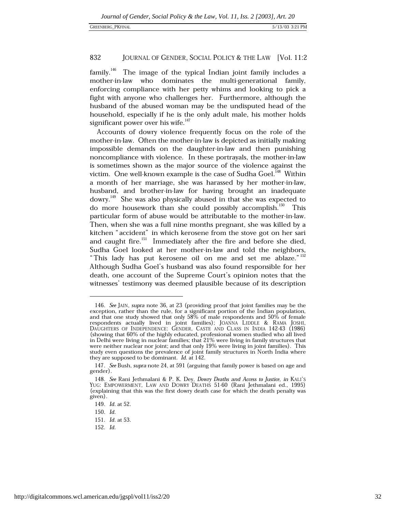family.<sup>146</sup> The image of the typical Indian joint family includes a mother-in-law who dominates the multi-generational family, enforcing compliance with her petty whims and looking to pick a fight with anyone who challenges her. Furthermore, although the husband of the abused woman may be the undisputed head of the household, especially if he is the only adult male, his mother holds significant power over his wife.<sup>147</sup>

Accounts of dowry violence frequently focus on the role of the mother-in-law. Often the mother-in-law is depicted as initially making impossible demands on the daughter-in-law and then punishing noncompliance with violence. In these portrayals, the mother-in-law is sometimes shown as the major source of the violence against the victim. One well-known example is the case of Sudha Goel.<sup>148</sup> Within a month of her marriage, she was harassed by her mother-in-law, husband, and brother-in-law for having brought an inadequate dowry.<sup>149</sup> She was also physically abused in that she was expected to do more housework than she could possibly accomplish.<sup>150</sup> This particular form of abuse would be attributable to the mother-in-law. Then, when she was a full nine months pregnant, she was killed by a kitchen "accident" in which kerosene from the stove got on her sari and caught fire.<sup>151</sup> Immediately after the fire and before she died, Sudha Goel looked at her mother-in-law and told the neighbors, "This lady has put kerosene oil on me and set me ablaze." 152 Although Sudha Goel's husband was also found responsible for her death, one account of the Supreme Court's opinion notes that the witnesses' testimony was deemed plausible because of its description

<sup>146.</sup> See JAIN, supra note 36, at 23 (providing proof that joint families may be the exception, rather than the rule, for a significant portion of the Indian population, and that one study showed that only 58% of male respondents and 50% of female respondents actually lived in joint families); JOANNA LIDDLE & RAMA JOSHI, DAUGHTERS OF INDEPENDENCE: GENDER, CASTE AND CLASS IN INDIA 142-43 (1986) (showing that 60% of the highly educated, professional women studied who all lived in Delhi were living in nuclear families; that 21% were living in family structures that were neither nuclear nor joint; and that only 19% were living in joint families). This study even questions the prevalence of joint family structures in North India where they are supposed to be dominant. Id. at 142.

<sup>147.</sup> See Bush, supra note 24, at 591 (arguing that family power is based on age and gender).

<sup>148.</sup> See Rani Jethmalani & P. K. Dey, Dowry Deaths and Access to Justice, in KALI'S YUG: EMPOWERMENT, LAW AND DOWRY DEATHS 51-60 (Rani Jethmalani ed., 1995) (explaining that this was the first dowry death case for which the death penalty was given).

<sup>149.</sup> *Id.* at 52.

<sup>150.</sup> Id.

<sup>151.</sup> Id. at 53.

<sup>152.</sup> Id.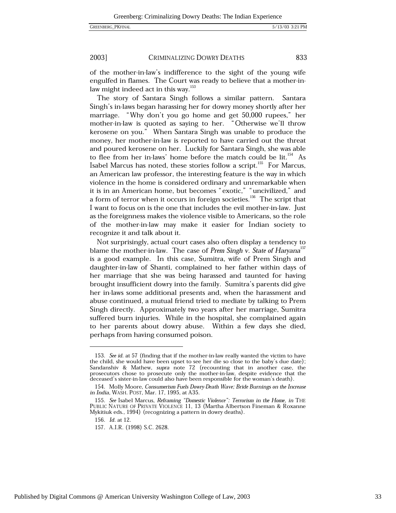2003] CRIMINALIZING DOWRY DEATHS 833

of the mother-in-law's indifference to the sight of the young wife engulfed in flames. The Court was ready to believe that a mother-inlaw might indeed act in this way.<sup>153</sup>

The story of Santara Singh follows a similar pattern. Santara Singh's in-laws began harassing her for dowry money shortly after her marriage. "Why don't you go home and get 50,000 rupees," her mother-in-law is quoted as saying to her. "Otherwise we'll throw kerosene on you." When Santara Singh was unable to produce the money, her mother-in-law is reported to have carried out the threat and poured kerosene on her. Luckily for Santara Singh, she was able to flee from her in-laws' home before the match could be lit.<sup>154</sup> As Isabel Marcus has noted, these stories follow a script.<sup>155</sup> For Marcus, an American law professor, the interesting feature is the way in which violence in the home is considered ordinary and unremarkable when it is in an American home, but becomes "exotic," "uncivilized," and<br>a form of terror when it occurs in foreign societies.<sup>156</sup> The script that I want to focus on is the one that includes the evil mother-in-law. Just as the foreignness makes the violence visible to Americans, so the role of the mother-in-law may make it easier for Indian society to recognize it and talk about it.

Not surprisingly, actual court cases also often display a tendency to blame the mother-in-law. The case of Prem Singh v. State of Haryana<sup>157</sup> is a good example. In this case, Sumitra, wife of Prem Singh and daughter-in-law of Shanti, complained to her father within days of her marriage that she was being harassed and taunted for having brought insufficient dowry into the family. Sumitra's parents did give her in-laws some additional presents and, when the harassment and abuse continued, a mutual friend tried to mediate by talking to Prem Singh directly. Approximately two years after her marriage, Sumitra suffered burn injuries. While in the hospital, she complained again to her parents about dowry abuse. Within a few days she died, perhaps from having consumed poison.

<sup>153.</sup> See id. at 57 (finding that if the mother-in-law really wanted the victim to have the child, she would have been upset to see her die so close to the baby's due date); Sandanshiv & Mathew, supra note 72 (recounting that in another case, the prosecutors chose to prosecute only the mother-in-law, despite evidence that the deceased's sister-in-law could also have been responsible for the woman's death).

<sup>154.</sup> Molly Moore, Consumerism Fuels Dowry-Death Wave; Bride Burnings on the Increase in India, WASH. POST, Mar. 17, 1995, at A35.

<sup>155.</sup> See Isabel Marcus, Reframing "Domestic Violence": Terrorism in the Home, in THE PUBLIC NATURE OF PRIVATE VIOLENCE 11, 13 (Martha Albertson Fineman & Roxanne Mykitiuk eds., 1994) (recognizing a pattern in dowry deaths).

<sup>156.</sup> *Id.* at 12.

<sup>157.</sup> A.I.R. (1998) S.C. 2628.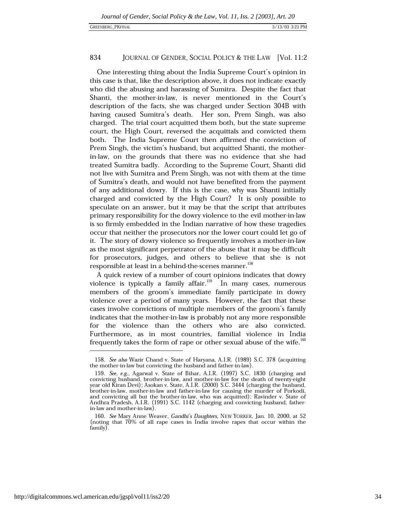One interesting thing about the India Supreme Court's opinion in this case is that, like the description above, it does not indicate exactly who did the abusing and harassing of Sumitra. Despite the fact that Shanti, the mother-in-law, is never mentioned in the Court's description of the facts, she was charged under Section 304B with having caused Sumitra's death. Her son, Prem Singh, was also charged. The trial court acquitted them both, but the state supreme court, the High Court, reversed the acquittals and convicted them both. The India Supreme Court then affirmed the conviction of Prem Singh, the victim's husband, but acquitted Shanti, the motherin-law, on the grounds that there was no evidence that she had treated Sumitra badly. According to the Supreme Court, Shanti did not live with Sumitra and Prem Singh, was not with them at the time of Sumitra's death, and would not have benefited from the payment of any additional dowry. If this is the case, why was Shanti initially charged and convicted by the High Court? It is only possible to speculate on an answer, but it may be that the script that attributes primary responsibility for the dowry violence to the evil mother-in-law is so firmly embedded in the Indian narrative of how these tragedies occur that neither the prosecutors nor the lower court could let go of it. The story of dowry violence so frequently involves a mother-in-law as the most significant perpetrator of the abuse that it may be difficult for prosecutors, judges, and others to believe that she is not responsible at least in a behind-the-scenes manner.<sup>158</sup>

A quick review of a number of court opinions indicates that dowry violence is typically a family affair.<sup>159</sup> In many cases, numerous members of the groom's immediate family participate in dowry violence over a period of many years. However, the fact that these cases involve convictions of multiple members of the groom's family indicates that the mother-in-law is probably not any more responsible for the violence than the others who are also convicted. Furthermore, as in most countries, familial violence in India frequently takes the form of rape or other sexual abuse of the wife.<sup>160</sup>

<sup>158.</sup> See also Wazir Chand v. State of Haryana, A.I.R. (1989) S.C. 378 (acquitting the mother-in-law but convicting the husband and father-in-law)

<sup>159.</sup> See, e.g., Agarwal v. State of Bihar, A.I.R. (1997) S.C. 1830 (charging and convicting husband, brother-in-law, and mother-in-law for the death of twenty-eight year old Kiran Devi); Asokan v. State, A.I.R. (2000) S.C. 3444 (charging the husband, brother-in-law, mother-in-law and father-in-law for causing the murder of Porkodi, and convicting all but the brother-in-law, who was acquitted); Ravinder v. State of Andhra Pradesh, A.I.R. (1991) S.C. 1142 (charging and convicting husband, fatherin-law and mother-in-law).

<sup>160.</sup> See Mary Anne Weaver, Gandhi's Daughters, NEW YORKER, Jan. 10, 2000, at 52 (noting that 70% of all rape cases in India involve rapes that occur within the family).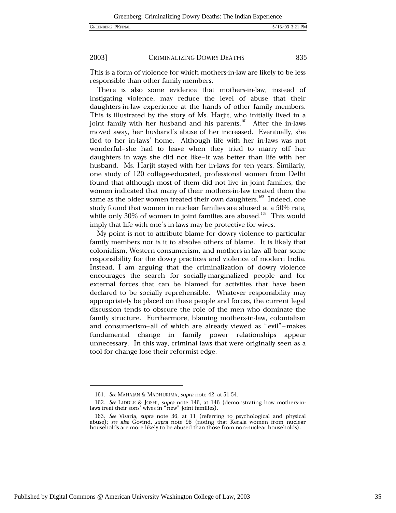GREENBERG\_PKFINAL

2003] CRIMINALIZING DOWRY DEATHS 835

This is a form of violence for which mothers-in-law are likely to be less responsible than other family members.

There is also some evidence that mothers-in-law, instead of instigating violence, may reduce the level of abuse that their daughters-in-law experience at the hands of other family members. This is illustrated by the story of Ms. Harjit, who initially lived in a joint family with her husband and his parents.<sup>161</sup> After the in-laws moved away, her husband's abuse of her increased. Eventually, she fled to her in-laws' home. Although life with her in-laws was not wonderful-she had to leave when they tried to marry off her daughters in ways she did not like-it was better than life with her husband. Ms. Harjit stayed with her in-laws for ten years. Similarly, one study of 120 college-educated, professional women from Delhi found that although most of them did not live in joint families, the women indicated that many of their mothers-in-law treated them the same as the older women treated their own daughters.<sup>162</sup> Indeed, one study found that women in nuclear families are abused at a 50% rate. while only 30% of women in joint families are abused.<sup>163</sup> This would imply that life with one's in-laws may be protective for wives.

My point is not to attribute blame for dowry violence to particular family members nor is it to absolve others of blame. It is likely that colonialism, Western consumerism, and mothers-in-law all bear some responsibility for the dowry practices and violence of modern India. Instead, I am arguing that the criminalization of dowry violence encourages the search for socially-marginalized people and for external forces that can be blamed for activities that have been declared to be socially reprehensible. Whatever responsibility may appropriately be placed on these people and forces, the current legal discussion tends to obscure the role of the men who dominate the family structure. Furthermore, blaming mothers-in-law, colonialism and consumerism-all of which are already viewed as "evil"-makes fundamental change in family power relationships appear unnecessary. In this way, criminal laws that were originally seen as a tool for change lose their reformist edge.

<sup>161.</sup> See MAHAJAN & MADHURIMA, supra note 42, at 51-54.

<sup>162.</sup> See LIDDLE & JOSHI, supra note 146, at 146 (demonstrating how mothers-inlaws treat their sons' wives in "new" joint families).

<sup>163.</sup> See Visaria, supra note 36, at 11 (referring to psychological and physical abuse); see also Govind, supra note 98 (noting that Kerala women from nuclear households are more likely to be abused than those from non-nuclear households).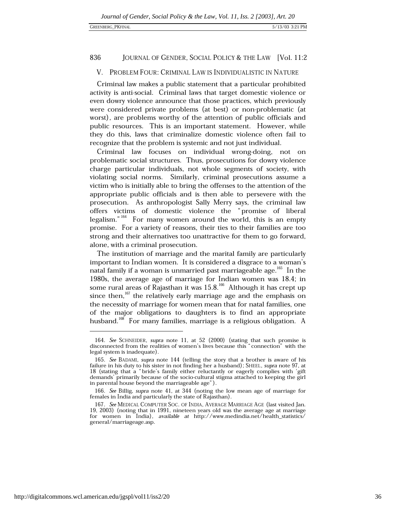### V. PROBLEM FOUR: CRIMINAL LAW IS INDIVIDUALISTIC IN NATURE

Criminal law makes a public statement that a particular prohibited activity is anti-social. Criminal laws that target domestic violence or even dowry violence announce that those practices, which previously were considered private problems (at best) or non-problematic (at worst), are problems worthy of the attention of public officials and public resources. This is an important statement. However, while they do this, laws that criminalize domestic violence often fail to recognize that the problem is systemic and not just individual.

Criminal law focuses on individual wrong-doing, not on problematic social structures. Thus, prosecutions for dowry violence charge particular individuals, not whole segments of society, with violating social norms. Similarly, criminal prosecutions assume a victim who is initially able to bring the offenses to the attention of the appropriate public officials and is then able to persevere with the prosecution. As anthropologist Sally Merry says, the criminal law offers victims of domestic violence the "promise of liberal legalism."  $164$  For many women around the world, this is an empty promise. For a variety of reasons, their ties to their families are too strong and their alternatives too unattractive for them to go forward, alone, with a criminal prosecution.

The institution of marriage and the marital family are particularly important to Indian women. It is considered a disgrace to a woman's natal family if a woman is unmarried past marriageable age.<sup>165</sup> In the 1980s, the average age of marriage for Indian women was 18.4; in some rural areas of Rajasthan it was 15.8.<sup>166</sup> Although it has crept up since then,  $167$  the relatively early marriage age and the emphasis on the necessity of marriage for women mean that for natal families, one of the major obligations to daughters is to find an appropriate husband.<sup>168</sup> For many families, marriage is a religious obligation. A

<sup>164.</sup> See SCHNEIDER, supra note 11, at 52 (2000) (stating that such promise is disconnected from the realities of women's lives because this "connection" with the legal system is inadequate).

<sup>165.</sup> See BADAMI, supra note 144 (telling the story that a brother is aware of his failure in his duty to his sister in not finding her a husband); SHEEL, supra note 97, at 18 (stating that a "bride's family either reluctantly or eagerly complies with 'gift demands' primarily because of the socio-cultural stigma attached to keeping the girl in parental house beyond the marriageable age").

<sup>166.</sup> See Billig, supra note 41, at 344 (noting the low mean age of marriage for females in India and particularly the state of Rajasthan).

<sup>167.</sup> See MEDICAL COMPUTER SOC. OF INDIA, AVERAGE MARRIAGE AGE (last visited Jan. 19, 2003) (noting that in 1991, nineteen years old was the average age at marriage for women in India), available at http://www.medindia.net/health\_statistics/ general/marriageage.asp.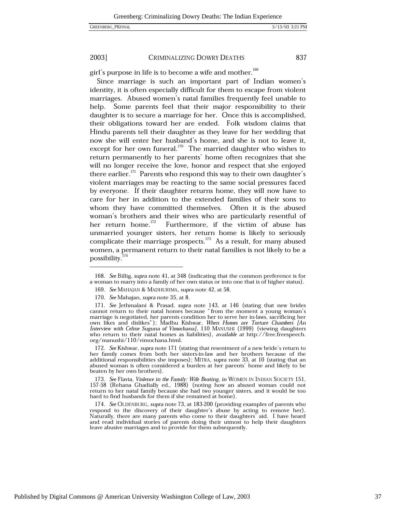#### 2003] CRIMINALIZING DOWRY DEATHS

girl's purpose in life is to become a wife and mother.<sup>169</sup>

Since marriage is such an important part of Indian women's identity, it is often especially difficult for them to escape from violent marriages. Abused women's natal families frequently feel unable to help. Some parents feel that their major responsibility to their daughter is to secure a marriage for her. Once this is accomplished, their obligations toward her are ended. Folk wisdom claims that Hindu parents tell their daughter as they leave for her wedding that now she will enter her husband's home, and she is not to leave it, except for her own funeral. $170$  The married daughter who wishes to return permanently to her parents' home often recognizes that she will no longer receive the love, honor and respect that she enjoyed there earlier.<sup>171</sup> Parents who respond this way to their own daughter's violent marriages may be reacting to the same social pressures faced by everyone. If their daughter returns home, they will now have to care for her in addition to the extended families of their sons to whom they have committed themselves. Often it is the abused woman's brothers and their wives who are particularly resentful of her return home.<sup>172</sup> Furthermore, if the victim of abuse has unmarried younger sisters, her return home is likely to seriously complicate their marriage prospects.<sup>173</sup> As a result, for many abused women, a permanent return to their natal families is not likely to be a possibility.<sup>174</sup>

169. See MAHAJAN & MADHURIMA, supra note 42, at 58.

172. See Kishwar, supra note 171 (stating that resentment of a new bride's return to her family comes from both her sisters-in-law and her brothers because of the additional responsibilities she imposes); MITRA, supra note 33, at 10 (stating that an abused woman is often considered a burden at her parents' home and likely to be beaten by her own brothers).

173. See Flavia, Violence in the Family: Wife Beating, in WOMEN IN INDIAN SOCIETY 151, 157-58 (Rehana Ghadially ed., 1988) (noting how an abused woman could not return to her natal family because she had two younger sisters, and it would be too hard to find husbands for them if she remained at home).

174. See OLDENBURG, supra note 73, at 183-200 (providing examples of parents who respond to the discovery of their daughter's abuse by acting to remove her). Naturally, there are many parents who come to their daughters aid. I have heard and read individual stories of parents doing their utmost to help their daughters leave abusive marriages and to provide for them subsequently.

837

<sup>168.</sup> See Billig, supra note 41, at 348 (indicating that the common preference is for a woman to marry into a family of her own status or into one that is of higher status).

<sup>170.</sup> See Mahajan, supra note 35, at 8.

<sup>171.</sup> See Jethmalani & Prasad, supra note  $143$ , at  $146$  (stating that new brides cannot return to their natal homes because "from the moment a young woman's marriage is negotiated, her parents condition her to serve her own likes and dislikes"); Madhu Kishwar, When Homes are Torture Chambers [An Interview with Celine Suguna of Vimochana], 110 MANUSHI (1999) (viewing daughters who return to their natal homes as liabilities), available at http://free.freespeech. org/manushi/110/vimochana.html.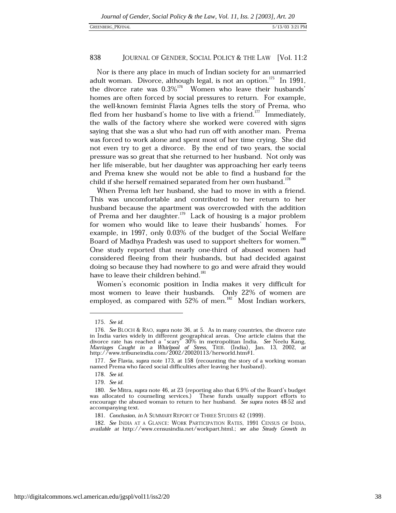Nor is there any place in much of Indian society for an unmarried adult woman. Divorce, although legal, is not an option.<sup>175</sup> In 1991, the divorce rate was  $0.3\%$ <sup>176</sup> Women who leave their husbands' homes are often forced by social pressures to return. For example, the well-known feminist Flavia Agnes tells the story of Prema, who fled from her husband's home to live with a friend.<sup>177</sup> Immediately, the walls of the factory where she worked were covered with signs saying that she was a slut who had run off with another man. Prema was forced to work alone and spent most of her time crying. She did not even try to get a divorce. By the end of two years, the social pressure was so great that she returned to her husband. Not only was her life miserable, but her daughter was approaching her early teens and Prema knew she would not be able to find a husband for the child if she herself remained separated from her own husband.<sup>178</sup>

When Prema left her husband, she had to move in with a friend. This was uncomfortable and contributed to her return to her husband because the apartment was overcrowded with the addition of Prema and her daughter.<sup>179</sup> Lack of housing is a major problem for women who would like to leave their husbands' homes. For example, in 1997, only 0.03% of the budget of the Social Welfare Board of Madhya Pradesh was used to support shelters for women.<sup>180</sup> One study reported that nearly one-third of abused women had considered fleeing from their husbands, but had decided against doing so because they had nowhere to go and were afraid they would have to leave their children behind.<sup>181</sup>

Women's economic position in India makes it very difficult for most women to leave their husbands. Only 22% of women are employed, as compared with 52% of men.<sup>182</sup> Most Indian workers,

<sup>175.</sup> See id.

<sup>176.</sup> See BLOCH & RAO, supra note 36, at 5. As in many countries, the divorce rate in India varies widely in different geographical areas. One article claims that the<br>divorce rate has reached a "scary" 30% in metropolitan India. See Neelu Kang,<br>Marriages Caught in a Whirlpool of Stress, TRIB. (India), Ja http://www.tribuneindia.com/2002/20020113/herworld.htm#1.

<sup>177.</sup> See Flavia, supra note 173, at 158 (recounting the story of a working woman named Prema who faced social difficulties after leaving her husband).

<sup>178.</sup> See id.

<sup>179.</sup> See id.

<sup>180.</sup> See Mitra, supra note 46, at 23 (reporting also that 6.9% of the Board's budget was allocated to counseling services.) These funds usually support efforts to encourage the abused woman to return to her husband. See supra notes 48-52 and accompanying text.

<sup>181.</sup> Conclusion, in A SUMMARY REPORT OF THREE STUDIES 42 (1999).

<sup>182.</sup> See INDIA AT A GLANCE: WORK PARTICIPATION RATES, 1991 CENSUS OF INDIA, available at http://www.censusindia.net/workpart.html.; see also Steady Growth in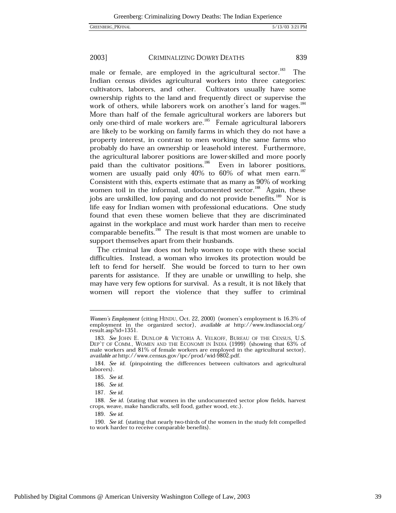#### 2003] CRIMINALIZING DOWRY DEATHS 839

male or female, are employed in the agricultural sector.<sup>183</sup> The Indian census divides agricultural workers into three categories: cultivators, laborers, and other. Cultivators usually have some ownership rights to the land and frequently direct or supervise the work of others, while laborers work on another's land for wages.<sup>184</sup> More than half of the female agricultural workers are laborers but only one-third of male workers are.<sup>185</sup> Female agricultural laborers are likely to be working on family farms in which they do not have a property interest, in contrast to men working the same farms who probably do have an ownership or leasehold interest. Furthermore, the agricultural laborer positions are lower-skilled and more poorly paid than the cultivator positions.<sup>186</sup> Even in laborer positions, women are usually paid only  $40\%$  to  $60\%$  of what men earn.<sup>187</sup> Consistent with this, experts estimate that as many as 90% of working women toil in the informal, undocumented sector.<sup>188</sup> Again, these jobs are unskilled, low paying and do not provide benefits.<sup>189</sup> Nor is life easy for Indian women with professional educations. One study found that even these women believe that they are discriminated against in the workplace and must work harder than men to receive comparable benefits.<sup>190</sup> The result is that most women are unable to support themselves apart from their husbands.

The criminal law does not help women to cope with these social difficulties. Instead, a woman who invokes its protection would be left to fend for herself. She would be forced to turn to her own parents for assistance. If they are unable or unwilling to help, she may have very few options for survival. As a result, it is not likely that women will report the violence that they suffer to criminal

Women's Employment (citing HINDU, Oct. 22, 2000) (women's employment is 16.3% of employment in the organized sector), available at http://www.indiasocial.org/ result.asp?id=1351.

<sup>183.</sup> See JOHN E. DUNLOP & VICTORIA A. VELKOFF, BUREAU OF THE CENSUS, U.S. DEP'T OF COMM.. WOMEN AND THE ECONOMY IN INDIA (1999) (showing that 63% of male workers and 81% of female workers are employed in the agricultural sector), available at http://www.census.gov/ipc/prod/wid-9802.pdf.

<sup>184.</sup> See id. (pinpointing the differences between cultivators and agricultural laborers).

<sup>185.</sup> See id.

<sup>186.</sup> See id.

<sup>187.</sup> See id.

<sup>188.</sup> See id. (stating that women in the undocumented sector plow fields, harvest crops, weave, make handicrafts, sell food, gather wood, etc.).

<sup>189.</sup> See id.

<sup>190.</sup> See id. (stating that nearly two-thirds of the women in the study felt compelled to work harder to receive comparable benefits).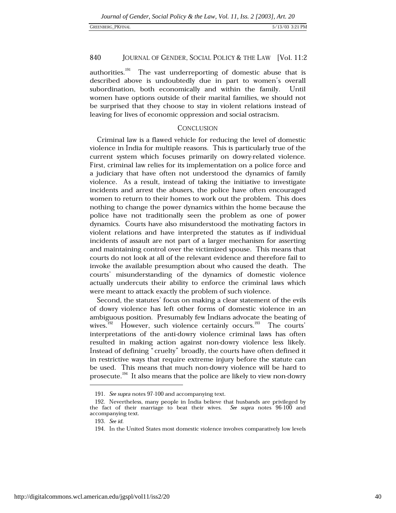authorities.<sup>191</sup> The vast underreporting of domestic abuse that is described above is undoubtedly due in part to women's overall subordination, both economically and within the family. Until women have options outside of their marital families, we should not be surprised that they choose to stay in violent relations instead of leaving for lives of economic oppression and social ostracism.

### **CONCLUSION**

Criminal law is a flawed vehicle for reducing the level of domestic violence in India for multiple reasons. This is particularly true of the current system which focuses primarily on dowry-related violence. First, criminal law relies for its implementation on a police force and a judiciary that have often not understood the dynamics of family violence. As a result, instead of taking the initiative to investigate incidents and arrest the abusers, the police have often encouraged women to return to their homes to work out the problem. This does nothing to change the power dynamics within the home because the police have not traditionally seen the problem as one of power dynamics. Courts have also misunderstood the motivating factors in violent relations and have interpreted the statutes as if individual incidents of assault are not part of a larger mechanism for asserting and maintaining control over the victimized spouse. This means that courts do not look at all of the relevant evidence and therefore fail to invoke the available presumption about who caused the death. The courts' misunderstanding of the dynamics of domestic violence actually undercuts their ability to enforce the criminal laws which were meant to attack exactly the problem of such violence.

Second, the statutes' focus on making a clear statement of the evils of dowry violence has left other forms of domestic violence in an ambiguous position. Presumably few Indians advocate the beating of wives.<sup>192</sup> However, such violence certainly occurs.<sup>193</sup> The courts' interpretations of the anti-dowry violence criminal laws has often resulted in making action against non-dowry violence less likely. Instead of defining "cruelty" broadly, the courts have often defined it in restrictive ways that require extreme injury before the statute can be used. This means that much non-dowry violence will be hard to prosecute.<sup>194</sup> It also means that the police are likely to view non-dowry

<sup>191.</sup> See supra notes 97-100 and accompanying text.

<sup>192.</sup> Nevertheless, many people in India believe that husbands are privileged by the fact of their marriage to beat their wives. See supra notes 96-100 and accompanying text.

<sup>193.</sup> See id.

<sup>194.</sup> In the United States most domestic violence involves comparatively low levels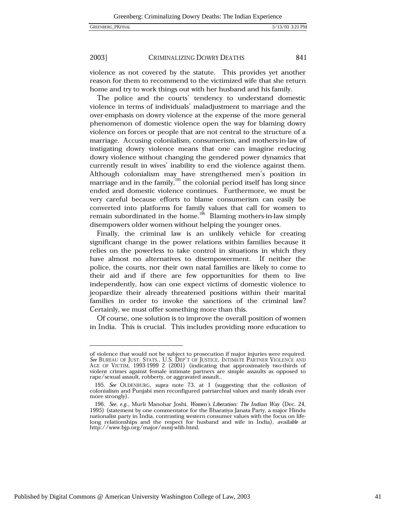#### 2003] CRIMINALIZING DOWRY DEATHS

violence as not covered by the statute. This provides yet another reason for them to recommend to the victimized wife that she return home and try to work things out with her husband and his family.

The police and the courts' tendency to understand domestic violence in terms of individuals' maladjustment to marriage and the over-emphasis on dowry violence at the expense of the more general phenomenon of domestic violence open the way for blaming dowry violence on forces or people that are not central to the structure of a marriage. Accusing colonialism, consumerism, and mothers-in-law of instigating dowry violence means that one can imagine reducing dowry violence without changing the gendered power dynamics that currently result in wives' inability to end the violence against them. Although colonialism may have strengthened men's position in marriage and in the family,  $195$  the colonial period itself has long since ended and domestic violence continues. Furthermore, we must be very careful because efforts to blame consumerism can easily be converted into platforms for family values that call for women to remain subordinated in the home.<sup>196</sup> Blaming mothers-in-law simply disempowers older women without helping the younger ones.

Finally, the criminal law is an unlikely vehicle for creating significant change in the power relations within families because it relies on the powerless to take control in situations in which they have almost no alternatives to disempowerment. If neither the police, the courts, nor their own natal families are likely to come to their aid and if there are few opportunities for them to live independently, how can one expect victims of domestic violence to jeopardize their already threatened positions within their marital families in order to invoke the sanctions of the criminal law? Certainly, we must offer something more than this.

Of course, one solution is to improve the overall position of women in India. This is crucial. This includes providing more education to

of violence that would not be subject to prosecution if major injuries were required. See BUREAU OF JUST. STATS., U.S. DEP'T OF JUSTICE, INTIMATE PARTNER VIOLENCE AND AGE OF VICTIM, 1993-1999 2 (2001) (indicating that approximately two-thirds of violent crimes against female intimate partners are simple assaults as opposed to rape/sexual assault, robberty, or aggravated assault..

<sup>195.</sup> See OLDENBURG, supra note 73, at 1 (suggesting that the collusion of colonialism and Punjabi men reconfigured patriarchial values and manly ideals ever more strongly).

<sup>196.</sup> See, e.g., Murli Manohar Joshi, Women's Liberation: The Indian Way (Dec. 24, 1995) (statement by one commentator for the Bharatiya Janata Party, a major Hindu nationalist party in India, contrasting western consumer values with the focus on lifelong relationships and the respect for husband and wife in India), available at http://www.bjp.org/major/mmj-wlib.html.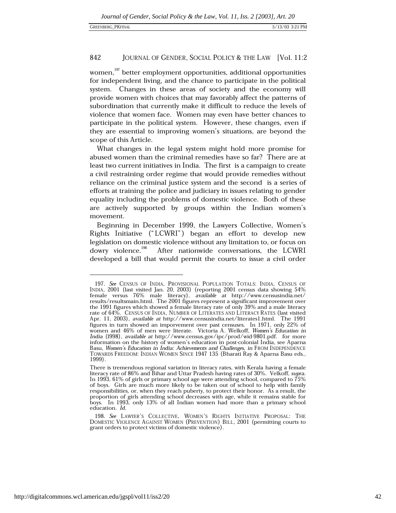women.<sup>197</sup> better employment opportunities, additional opportunities for independent living, and the chance to participate in the political system. Changes in these areas of society and the economy will provide women with choices that may favorably affect the patterns of subordination that currently make it difficult to reduce the levels of violence that women face. Women may even have better chances to participate in the political system. However, these changes, even if they are essential to improving women's situations, are beyond the scope of this Article.

What changes in the legal system might hold more promise for abused women than the criminal remedies have so far? There are at least two current initiatives in India. The first is a campaign to create a civil restraining order regime that would provide remedies without reliance on the criminal justice system and the second is a series of efforts at training the police and judiciary in issues relating to gender equality including the problems of domestic violence. Both of these are actively supported by groups within the Indian women's movement.

Beginning in December 1999, the Lawyers Collective, Women's Rights Initiative ("LCWRI") began an effort to develop new legislation on domestic violence without any limitation to, or focus on dowry violence.<sup>198</sup> After nationwide conversations, the LCWRI developed a bill that would permit the courts to issue a civil order

<sup>197.</sup> See CENSUS OF INDIA, PROVISIONAL POPULATION TOTALS: INDIA, CENSUS OF INDIA, 2001 (last visited Jan. 20, 2003) (reporting 2001 census data showing 54% female versus 76% male literacy), available at http://www.censusindia.net/ results/resultsmain.html. The 2001 figures represent a significant improvement over the 1991 figures which showed a female literacy rate of only 39% and a male literacy rate of 64%. CENSUS OF INDIA, NUMBER OF LITERATES AND LITERACY RATES (last visited Apr. 11, 2003), available at http://www.censusindia.net/literates1.html. The 1991 figures in turn showed an imporvement over past censuses. In 1971, only 22% of women and 46% of men were literate. Victoria A. Welkoff, *Women's Education in* India (1998), available at http://www.census.gov/ipc/prod/wid-9801.pdf. for more information on the history of women's education in post-colonial India, see Aparna Basu, Women's Education in India: Achievements and Challenges, in FROM INDEPENDENCE TOWARDS FREEDOM: INDIAN WOMEN SINCE 1947 135 (Bharati Ray & Aparna Basu eds., 1999).

There is tremendous regional variation in literacy rates, with Kerala having a female literacy rate of 86% and Bihar and Uttar Pradesh having rates of 30%. Velkoff, supra. In 1993, 61% of girls or primary school age were attending school, compared to  $75\%$ of boys. Girls are much more likely to be taken out of school to help with family responsibilities, or, when they reach puberty, to protect their honor. As a result, the proportion of girls attending school decreases with age, while it remains stable for boys. In 1993, only 13% of all Indian women had more than a primary school education. Id.

<sup>198.</sup> See LAWYER'S COLLECTIVE, WOMEN'S RIGHTS INITIATIVE PROPOSAL: THE DOMESTIC VIOLENCE AGAINST WOMEN (PREVENTION) BILL, 2001 (permitting courts to grant orders to protect victims of domestic violence).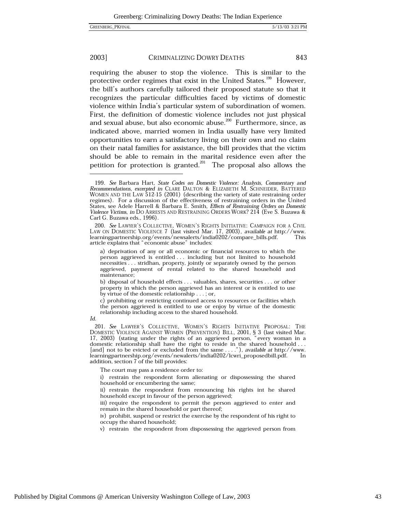#### 2003] CRIMINALIZING DOWRY DEATHS

requiring the abuser to stop the violence. This is similar to the protective order regimes that exist in the United States.<sup>199</sup> However, the bill's authors carefully tailored their proposed statute so that it recognizes the particular difficulties faced by victims of domestic violence within India's particular system of subordination of women. First, the definition of domestic violence includes not just physical and sexual abuse, but also economic abuse.<sup>200</sup> Furthermore, since, as indicated above, married women in India usually have very limited opportunities to earn a satisfactory living on their own and no claim on their natal families for assistance, the bill provides that the victim should be able to remain in the marital residence even after the petition for protection is granted.<sup>201</sup> The proposal also allows the

The court may pass a residence order to:

i) restrain the respondent form alienating or dispossessing the shared household or encumbering the same;

ii) restrain the respondent from renouncing his rights int he shared household except in favour of the person aggrieved;

iii) require the respondent to permit the person aggrieved to enter and remain in the shared household or part thereof;

iv) prohibit, suspend or restrict the exercise by the respondent of his right to occupy the shared household;

v) restrain the respondent from dispossessing the aggrieved person from

<sup>199.</sup> See Barbara Hart, State Codes on Domestic Violence: Analysis, Commentary and Recommendations, excerpted in CLARE DALTON & ELIZABETH M. SCHNEIDER, BATTERED WOMEN AND THE LAW 512-15 (2001) (describing the variety of state restraining order regimes). For a discussion of the effectiveness of restraining orders in the United States, see Adele Harrell & Barbara E. Smith, Effects of Restraining Orders on Domestic Violence Victims, in DO ARRESTS AND RESTRAINING ORDERS WORK? 214 (Eve S. Buzawa & Carl G. Buzawa eds., 1996).

<sup>200.</sup> See LAWYER'S COLLECTIVE, WOMEN'S RIGHTS INITIATIVE: CAMPAIGN FOR A CIVIL LAW ON DOMESTIC VIOLENCE 7 (last visited Mar. 17, 2003), available at http://www. learningpartnership.org/events/newsalerts/india0202/compare\_bills.pdf. This article explains that "economic abuse" includes:

a) deprivation of any or all economic or financial resources to which the person aggrieved is entitled ... including but not limited to household necessities... stridhan, property, jointly or separately owned by the person aggrieved, payment of rental related to the shared household and maintenance;

b) disposal of household effects . . . valuables, shares, securities . . . or other property in which the person aggrieved has an interest or is entitled to use by virtue of the domestic relationship . . . ; or,

c) prohibiting or restricting continued access to resources or facilities which the person aggrieved is entitled to use or enjoy by virtue of the domestic relationship including access to the shared household.

Id.

<sup>201.</sup> See LAWYER'S COLLECTIVE, WOMEN'S RIGHTS INITIATIVE PROPOSAL: THE DOMESTIC VIOLENCE AGAINST WOMEN (PREVENTION) BILL, 2001, § 3 (last visited Mar.<br>17, 2003) (stating under the rights of an aggrieved person, "every woman in a domestic relationship shall have the right to reside in the shared household ... [and] not to be evicted or excluded from the same ...."), available at http://www. learningpartnership.org/events/newalerts/india0202/lcwri\_proposedbill.pdf. In addition, section 7 of the bill provides: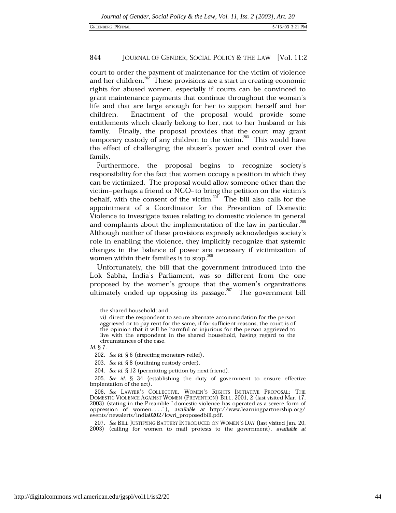court to order the payment of maintenance for the victim of violence and her children.<sup>202</sup> These provisions are a start in creating economic rights for abused women, especially if courts can be convinced to grant maintenance payments that continue throughout the woman's life and that are large enough for her to support herself and her children. Enactment of the proposal would provide some entitlements which clearly belong to her, not to her husband or his family. Finally, the proposal provides that the court may grant temporary custody of any children to the victim.<sup>203</sup> This would have the effect of challenging the abuser's power and control over the family.

Furthermore, the proposal begins to recognize society's responsibility for the fact that women occupy a position in which they can be victimized. The proposal would allow someone other than the victim-perhaps a friend or NGO-to bring the petition on the victim's behalf, with the consent of the victim.<sup>204</sup> The bill also calls for the appointment of a Coordinator for the Prevention of Domestic Violence to investigate issues relating to domestic violence in general and complaints about the implementation of the law in particular.<sup>205</sup> Although neither of these provisions expressly acknowledges society's role in enabling the violence, they implicitly recognize that systemic changes in the balance of power are necessary if victimization of women within their families is to stop.<sup>206</sup>

Unfortunately, the bill that the government introduced into the Lok Sabha, India's Parliament, was so different from the one proposed by the women's groups that the women's organizations ultimately ended up opposing its passage.<sup>207</sup> The government bill

the shared household; and

vi) direct the respondent to secure alternate accommodation for the person aggrieved or to pay rent for the same, if for sufficient reasons, the court is of the opinion that it will be harmful or injurious for the person aggrieved to live with the erspondent in the shared household, having regard to the circumstances of the case.

Id. § 7.

<sup>202.</sup> See id. § 6 (directing monetary relief).

<sup>203.</sup> See id. § 8 (outlining custody order).

<sup>204.</sup> See id. § 12 (permitting petition by next friend).

<sup>205.</sup> See id.  $\S$  34 (establishing the duty of government to ensure effective implentation of the act).

<sup>206.</sup> See LAWYER'S COLLECTIVE, WOMEN'S RIGHTS INITIATIVE PROPOSAL: THE DOMESTIC VIOLENCE AGAINST WOMEN (PREVENTION) BILL, 2001, 2 (last visited Mar. 17, 2003) (stating in the Preamble "domestic violence has operated as a severe form of<br>oppression of women...."), available at http://www.learningpartnership.org/<br>events/newalerts/india0202/lcwri\_proposedbill.pdf.

<sup>207.</sup> See BILL JUSTIFYING BATTERY INTRODUCED ON WOMEN'S DAY (last visited Jan. 20, 2003) (calling for women to mail protests to the government), available at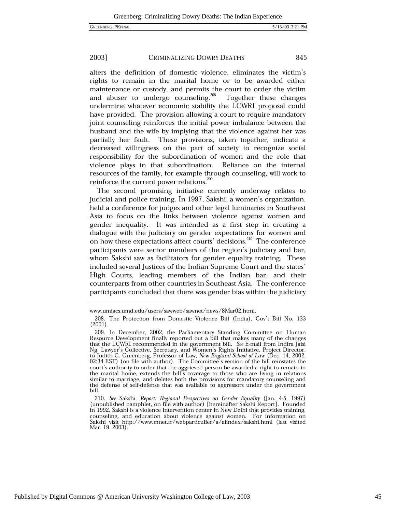2003] CRIMINALIZING DOWRY DEATHS

alters the definition of domestic violence, eliminates the victim's rights to remain in the marital home or to be awarded either maintenance or custody, and permits the court to order the victim and abuser to undergo counseling.<sup>208</sup> Together these changes undermine whatever economic stability the LCWRI proposal could have provided. The provision allowing a court to require mandatory joint counseling reinforces the initial power imbalance between the husband and the wife by implying that the violence against her was partially her fault. These provisions, taken together, indicate a decreased willingness on the part of society to recognize social responsibility for the subordination of women and the role that violence plays in that subordination. Reliance on the internal resources of the family, for example through counseling, will work to reinforce the current power relations.<sup>209</sup>

The second promising initiative currently underway relates to judicial and police training. In 1997, Sakshi, a women's organization, held a conference for judges and other legal luminaries in Southeast Asia to focus on the links between violence against women and gender inequality. It was intended as a first step in creating a dialogue with the judiciary on gender expectations for women and on how these expectations affect courts' decisions.<sup>210</sup> The conference participants were senior members of the region's judiciary and bar, whom Sakshi saw as facilitators for gender equality training. These included several Justices of the Indian Supreme Court and the states' High Courts, leading members of the Indian bar, and their counterparts from other countries in Southeast Asia. The conference participants concluded that there was gender bias within the judiciary

Published by Digital Commons @ American University Washington College of Law, 2003

www.umiacs.umd.edu/users/sawweb/sawnet/news/8Mar02.html.

<sup>208.</sup> The Protection from Domestic Violence Bill (India), Gov't Bill No. 133  $(2001).$ 

<sup>209.</sup> In December, 2002, the Parliamentary Standing Committee on Human Resource Development finally reported out a bill that makes many of the changes that the LCWRI recommended in the government bill. See E-mail from Indira Jaisi Ng, Lawyer's Collective, Secretary, and Women's Rights Initiative, Project Director, to Judith G. Greenberg, Professor of Law, New England School of Law (Dec. 14, 2002, 02:34 EST) (on file with author). The Committee's version of the bill reinstates the court's authority to order that the aggrieved person be awarded a right to remain in the marital home, extends the bill's coverage to those who are living in relations similar to marriage, and deletes both the provisions for mandatory counseling and the defense of self-defense that was available to aggressors under the government bill.

<sup>210.</sup> See Sakshi, Report: Regional Perspectives on Gender Equality (Jan. 4-5, 1997) (unpublished pamphlet, on file with author) [hereinafter Sakshi Report]. Founded in 1992, Sakshi is a violence intervention center in New Delhi that provides training, counseling, and education about violence against women. For information on Sakshi visit http://www.mnet.fr/webparticulier/a/aiindex/sakshi.html (last visited Mar. 19, 2003).